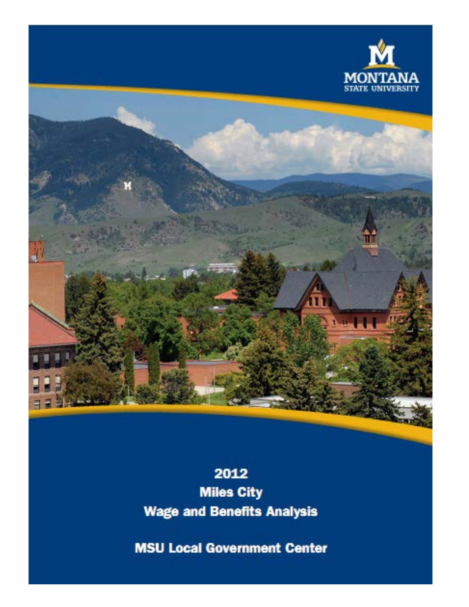



# <span id="page-0-0"></span>2012 **Miles City Wage and Benefits Analysis**

**MSU Local Government Center**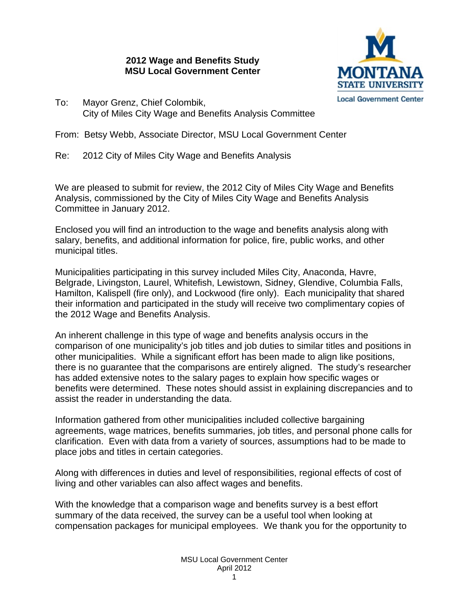## **2012 Wage and Benefits Study MSU Local Government Center**



To: Mayor Grenz, Chief Colombik, City of Miles City Wage and Benefits Analysis Committee

From: Betsy Webb, Associate Director, MSU Local Government Center

Re: 2012 City of Miles City Wage and Benefits Analysis

We are pleased to submit for review, the 2012 City of Miles City Wage and Benefits Analysis, commissioned by the City of Miles City Wage and Benefits Analysis Committee in January 2012.

Enclosed you will find an introduction to the wage and benefits analysis along with salary, benefits, and additional information for police, fire, public works, and other municipal titles.

Municipalities participating in this survey included Miles City, Anaconda, Havre, Belgrade, Livingston, Laurel, Whitefish, Lewistown, Sidney, Glendive, Columbia Falls, Hamilton, Kalispell (fire only), and Lockwood (fire only). Each municipality that shared their information and participated in the study will receive two complimentary copies of the 2012 Wage and Benefits Analysis.

An inherent challenge in this type of wage and benefits analysis occurs in the comparison of one municipality's job titles and job duties to similar titles and positions in other municipalities. While a significant effort has been made to align like positions, there is no guarantee that the comparisons are entirely aligned. The study's researcher has added extensive notes to the salary pages to explain how specific wages or benefits were determined. These notes should assist in explaining discrepancies and to assist the reader in understanding the data.

Information gathered from other municipalities included collective bargaining agreements, wage matrices, benefits summaries, job titles, and personal phone calls for clarification. Even with data from a variety of sources, assumptions had to be made to place jobs and titles in certain categories.

Along with differences in duties and level of responsibilities, regional effects of cost of living and other variables can also affect wages and benefits.

With the knowledge that a comparison wage and benefits survey is a best effort summary of the data received, the survey can be a useful tool when looking at compensation packages for municipal employees. We thank you for the opportunity to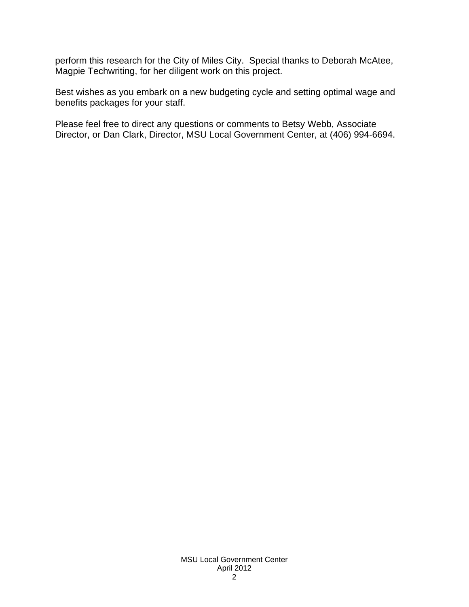perform this research for the City of Miles City. Special thanks to Deborah McAtee, Magpie Techwriting, for her diligent work on this project.

Best wishes as you embark on a new budgeting cycle and setting optimal wage and benefits packages for your staff.

Please feel free to direct any questions or comments to Betsy Webb, Associate Director, or Dan Clark, Director, MSU Local Government Center, at (406) 994-6694.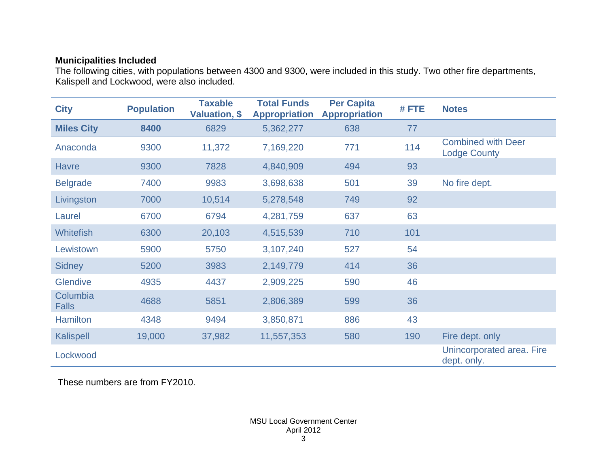## **Municipalities Included**

The following cities, with populations between 4300 and 9300, were included in this study. Two other fire departments, Kalispell and Lockwood, were also included.

| <b>City</b>              | <b>Population</b> | <b>Taxable</b><br>Valuation, \$ | <b>Total Funds</b><br><b>Appropriation</b> | <b>Per Capita</b><br><b>Appropriation</b> | #FTE | <b>Notes</b>                                     |
|--------------------------|-------------------|---------------------------------|--------------------------------------------|-------------------------------------------|------|--------------------------------------------------|
| <b>Miles City</b>        | 8400              | 6829                            | 5,362,277                                  | 638                                       | 77   |                                                  |
| Anaconda                 | 9300              | 11,372                          | 7,169,220                                  | 771                                       | 114  | <b>Combined with Deer</b><br><b>Lodge County</b> |
| <b>Havre</b>             | 9300              | 7828                            | 4,840,909                                  | 494                                       | 93   |                                                  |
| <b>Belgrade</b>          | 7400              | 9983                            | 3,698,638                                  | 501                                       | 39   | No fire dept.                                    |
| Livingston               | 7000              | 10,514                          | 5,278,548                                  | 749                                       | 92   |                                                  |
| Laurel                   | 6700              | 6794                            | 4,281,759                                  | 637                                       | 63   |                                                  |
| <b>Whitefish</b>         | 6300              | 20,103                          | 4,515,539                                  | 710                                       | 101  |                                                  |
| Lewistown                | 5900              | 5750                            | 3,107,240                                  | 527                                       | 54   |                                                  |
| <b>Sidney</b>            | 5200              | 3983                            | 2,149,779                                  | 414                                       | 36   |                                                  |
| <b>Glendive</b>          | 4935              | 4437                            | 2,909,225                                  | 590                                       | 46   |                                                  |
| Columbia<br><b>Falls</b> | 4688              | 5851                            | 2,806,389                                  | 599                                       | 36   |                                                  |
| <b>Hamilton</b>          | 4348              | 9494                            | 3,850,871                                  | 886                                       | 43   |                                                  |
| Kalispell                | 19,000            | 37,982                          | 11,557,353                                 | 580                                       | 190  | Fire dept. only                                  |
| Lockwood                 |                   |                                 |                                            |                                           |      | Unincorporated area. Fire<br>dept. only.         |

These numbers are from FY2010.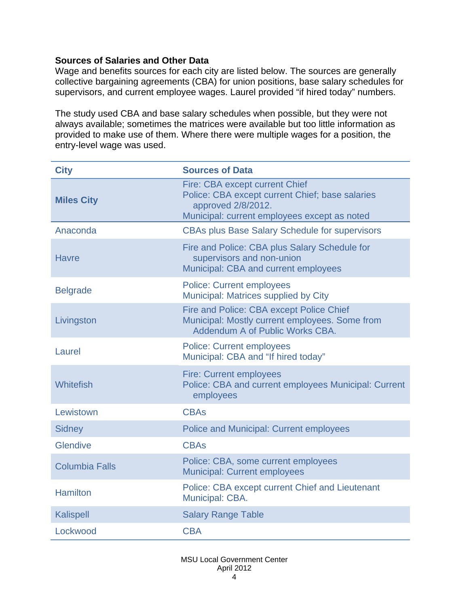## **Sources of Salaries and Other Data**

Wage and benefits sources for each city are listed below. The sources are generally collective bargaining agreements (CBA) for union positions, base salary schedules for supervisors, and current employee wages. Laurel provided "if hired today" numbers.

The study used CBA and base salary schedules when possible, but they were not always available; sometimes the matrices were available but too little information as provided to make use of them. Where there were multiple wages for a position, the entry-level wage was used.

| <b>City</b>           | <b>Sources of Data</b>                                                                                                                                  |
|-----------------------|---------------------------------------------------------------------------------------------------------------------------------------------------------|
| <b>Miles City</b>     | Fire: CBA except current Chief<br>Police: CBA except current Chief; base salaries<br>approved 2/8/2012.<br>Municipal: current employees except as noted |
| Anaconda              | <b>CBAs plus Base Salary Schedule for supervisors</b>                                                                                                   |
| <b>Havre</b>          | Fire and Police: CBA plus Salary Schedule for<br>supervisors and non-union<br>Municipal: CBA and current employees                                      |
| <b>Belgrade</b>       | <b>Police: Current employees</b><br>Municipal: Matrices supplied by City                                                                                |
| Livingston            | Fire and Police: CBA except Police Chief<br>Municipal: Mostly current employees. Some from<br>Addendum A of Public Works CBA.                           |
| Laurel                | <b>Police: Current employees</b><br>Municipal: CBA and "If hired today"                                                                                 |
| Whitefish             | <b>Fire: Current employees</b><br>Police: CBA and current employees Municipal: Current<br>employees                                                     |
| Lewistown             | <b>CBAs</b>                                                                                                                                             |
| <b>Sidney</b>         | <b>Police and Municipal: Current employees</b>                                                                                                          |
| <b>Glendive</b>       | <b>CBAs</b>                                                                                                                                             |
| <b>Columbia Falls</b> | Police: CBA, some current employees<br><b>Municipal: Current employees</b>                                                                              |
| <b>Hamilton</b>       | Police: CBA except current Chief and Lieutenant<br>Municipal: CBA.                                                                                      |
| <b>Kalispell</b>      | <b>Salary Range Table</b>                                                                                                                               |
| Lockwood              | <b>CBA</b>                                                                                                                                              |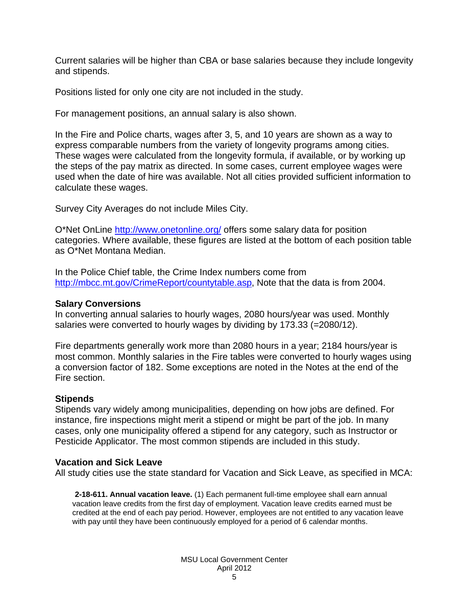Current salaries will be higher than CBA or base salaries because they include longevity and stipends.

Positions listed for only one city are not included in the study.

For management positions, an annual salary is also shown.

In the Fire and Police charts, wages after 3, 5, and 10 years are shown as a way to express comparable numbers from the variety of longevity programs among cities. These wages were calculated from the longevity formula, if available, or by working up the steps of the pay matrix as directed. In some cases, current employee wages were used when the date of hire was available. Not all cities provided sufficient information to calculate these wages.

Survey City Averages do not include Miles City.

O\*Net OnLine<http://www.onetonline.org/> offers some salary data for position categories. Where available, these figures are listed at the bottom of each position table as O\*Net Montana Median.

In the Police Chief table, the Crime Index numbers come from [http://mbcc.mt.gov/CrimeReport/countytable.asp,](http://mbcc.mt.gov/CrimeReport/countytable.asp%20-%20for%202004) Note that the data is from 2004.

## **Salary Conversions**

In converting annual salaries to hourly wages, 2080 hours/year was used. Monthly salaries were converted to hourly wages by dividing by 173.33 (=2080/12).

Fire departments generally work more than 2080 hours in a year; 2184 hours/year is most common. Monthly salaries in the Fire tables were converted to hourly wages using a conversion factor of 182. Some exceptions are noted in the Notes at the end of the Fire section.

## **Stipends**

Stipends vary widely among municipalities, depending on how jobs are defined. For instance, fire inspections might merit a stipend or might be part of the job. In many cases, only one municipality offered a stipend for any category, such as Instructor or Pesticide Applicator. The most common stipends are included in this study.

## **Vacation and Sick Leave**

All study cities use the state standard for Vacation and Sick Leave, as specified in MCA:

**2-18-611. Annual vacation leave.** (1) Each permanent full-time employee shall earn annual vacation leave credits from the first day of employment. Vacation leave credits earned must be credited at the end of each pay period. However, employees are not entitled to any vacation leave with pay until they have been continuously employed for a period of 6 calendar months.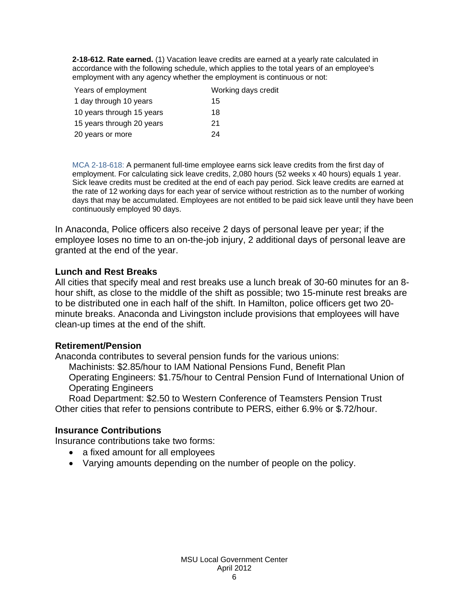**2-18-612. Rate earned.** (1) Vacation leave credits are earned at a yearly rate calculated in accordance with the following schedule, which applies to the total years of an employee's employment with any agency whether the employment is continuous or not:

| Years of employment       | Working days credit |
|---------------------------|---------------------|
| 1 day through 10 years    | 15                  |
| 10 years through 15 years | 18                  |
| 15 years through 20 years | 21                  |
| 20 years or more          | 24                  |

MCA 2-18-618: A permanent full-time employee earns sick leave credits from the first day of employment. For calculating sick leave credits, 2,080 hours (52 weeks x 40 hours) equals 1 year. Sick leave credits must be credited at the end of each pay period. Sick leave credits are earned at the rate of 12 working days for each year of service without restriction as to the number of working days that may be accumulated. Employees are not entitled to be paid sick leave until they have been continuously employed 90 days.

In Anaconda, Police officers also receive 2 days of personal leave per year; if the employee loses no time to an on-the-job injury, 2 additional days of personal leave are granted at the end of the year.

## **Lunch and Rest Breaks**

All cities that specify meal and rest breaks use a lunch break of 30-60 minutes for an 8 hour shift, as close to the middle of the shift as possible; two 15-minute rest breaks are to be distributed one in each half of the shift. In Hamilton, police officers get two 20 minute breaks. Anaconda and Livingston include provisions that employees will have clean-up times at the end of the shift.

## **Retirement/Pension**

Anaconda contributes to several pension funds for the various unions: Machinists: \$2.85/hour to IAM National Pensions Fund, Benefit Plan Operating Engineers: \$1.75/hour to Central Pension Fund of International Union of Operating Engineers

Road Department: \$2.50 to Western Conference of Teamsters Pension Trust Other cities that refer to pensions contribute to PERS, either 6.9% or \$.72/hour.

## **Insurance Contributions**

Insurance contributions take two forms:

- a fixed amount for all employees
- Varying amounts depending on the number of people on the policy.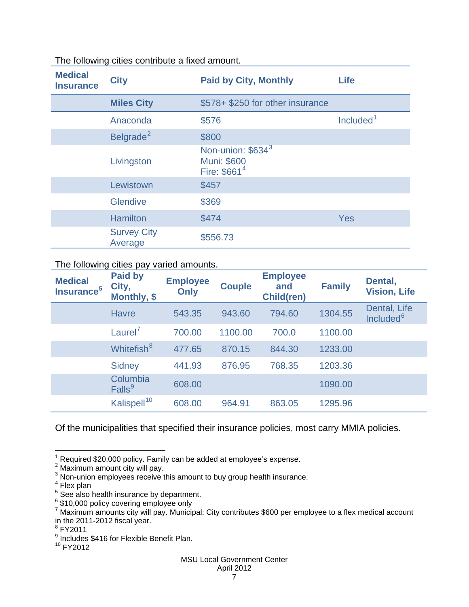| <b>Medical</b><br><b>Insurance</b> | <b>City</b>                   | <b>Paid by City, Monthly</b>                                                    | <b>Life</b>           |
|------------------------------------|-------------------------------|---------------------------------------------------------------------------------|-----------------------|
|                                    | <b>Miles City</b>             | \$578+ \$250 for other insurance                                                |                       |
|                                    | Anaconda                      | \$576                                                                           | Included <sup>1</sup> |
|                                    | Belgrade <sup>2</sup>         | \$800                                                                           |                       |
|                                    | Livingston                    | Non-union: \$634 <sup>3</sup><br><b>Muni: \$600</b><br>Fire: \$661 <sup>4</sup> |                       |
|                                    | Lewistown                     | \$457                                                                           |                       |
|                                    | <b>Glendive</b>               | \$369                                                                           |                       |
|                                    | <b>Hamilton</b>               | \$474                                                                           | <b>Yes</b>            |
|                                    | <b>Survey City</b><br>Average | \$556.73                                                                        |                       |

## <span id="page-7-9"></span>The following cities contribute a fixed amount.

## The following cities pay varied amounts.

| <b>Medical</b><br>Insurance <sup>5</sup> | <b>Paid by</b><br>City,<br>Monthly, \$ | <b>Employee</b><br>Only | <b>Couple</b> | <b>Employee</b><br>and<br><b>Child(ren)</b> | <b>Family</b> | Dental,<br><b>Vision, Life</b>        |
|------------------------------------------|----------------------------------------|-------------------------|---------------|---------------------------------------------|---------------|---------------------------------------|
|                                          | <b>Havre</b>                           | 543.35                  | 943.60        | 794.60                                      | 1304.55       | Dental, Life<br>Included <sup>6</sup> |
|                                          | Laurel <sup>7</sup>                    | 700.00                  | 1100.00       | 700.0                                       | 1100.00       |                                       |
|                                          | Whitefish <sup>8</sup>                 | 477.65                  | 870.15        | 844.30                                      | 1233.00       |                                       |
|                                          | <b>Sidney</b>                          | 441.93                  | 876.95        | 768.35                                      | 1203.36       |                                       |
|                                          | Columbia<br>Falls <sup>9</sup>         | 608.00                  |               |                                             | 1090.00       |                                       |
|                                          | Kalispell <sup>10</sup>                | 608.00                  | 964.91        | 863.05                                      | 1295.96       |                                       |

## Of the municipalities that specified their insurance policies, most carry MMIA policies.

 $1$  Required \$20,000 policy. Family can be added at employee's expense.

<span id="page-7-0"></span><sup>&</sup>lt;sup>2</sup> Maximum amount city will pay.

<span id="page-7-1"></span><sup>&</sup>lt;sup>3</sup> Non-union employees receive this amount to buy group health insurance.<br>
<sup>4</sup> Flex plan<br>
<sup>5</sup> See also health insurance by department.

<span id="page-7-2"></span>

<span id="page-7-4"></span><span id="page-7-3"></span><sup>&</sup>lt;sup>6</sup> \$10,000 policy covering employee only

<span id="page-7-5"></span><sup>7</sup> Maximum amounts city will pay. Municipal: City contributes \$600 per employee to a flex medical account in the 2011-2012 fiscal year.<br> $8$  FY2011

<span id="page-7-7"></span><span id="page-7-6"></span><sup>9</sup> Includes \$416 for Flexible Benefit Plan.

<span id="page-7-8"></span> $10$  FY2012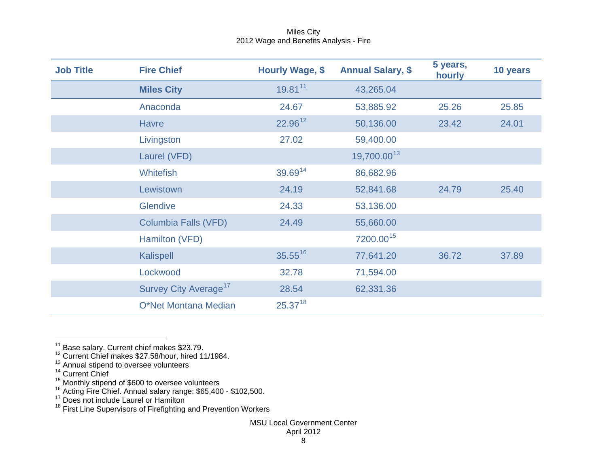<span id="page-8-6"></span><span id="page-8-5"></span><span id="page-8-4"></span><span id="page-8-3"></span><span id="page-8-2"></span><span id="page-8-1"></span><span id="page-8-0"></span>

| <b>Job Title</b> | <b>Fire Chief</b>                 | Hourly Wage, \$ | <b>Annual Salary, \$</b> | 5 years,<br>hourly | 10 years |
|------------------|-----------------------------------|-----------------|--------------------------|--------------------|----------|
|                  | <b>Miles City</b>                 | 19.8111         | 43,265.04                |                    |          |
|                  | Anaconda                          | 24.67           | 53,885.92                | 25.26              | 25.85    |
|                  | <b>Havre</b>                      | 22.9612         | 50,136.00                | 23.42              | 24.01    |
|                  | Livingston                        | 27.02           | 59,400.00                |                    |          |
|                  | Laurel (VFD)                      |                 | 19,700.0013              |                    |          |
|                  | <b>Whitefish</b>                  | 39.6914         | 86,682.96                |                    |          |
|                  | Lewistown                         | 24.19           | 52,841.68                | 24.79              | 25.40    |
|                  | <b>Glendive</b>                   | 24.33           | 53,136.00                |                    |          |
|                  | <b>Columbia Falls (VFD)</b>       | 24.49           | 55,660.00                |                    |          |
|                  | Hamilton (VFD)                    |                 | 7200.00 <sup>15</sup>    |                    |          |
|                  | Kalispell                         | $35.55^{16}$    | 77,641.20                | 36.72              | 37.89    |
|                  | Lockwood                          | 32.78           | 71,594.00                |                    |          |
|                  | Survey City Average <sup>17</sup> | 28.54           | 62,331.36                |                    |          |
|                  | O*Net Montana Median              | $25.37^{18}$    |                          |                    |          |

 $\frac{11}{12}$  Base salary. Current chief makes \$23.79.<br> $\frac{12}{12}$  Current Chief makes \$27.58/hour, hired 11/1984.

 $^{13}$  Annual stipend to oversee volunteers<br> $^{14}$  Current Chief

<sup>&</sup>lt;sup>15</sup> Monthly stipend of \$600 to oversee volunteers<br><sup>16</sup> Acting Fire Chief. Annual salary range: \$65,400 - \$102,500.

<sup>&</sup>lt;sup>17</sup> Does not include Laurel or Hamilton

<sup>&</sup>lt;sup>18</sup> First Line Supervisors of Firefighting and Prevention Workers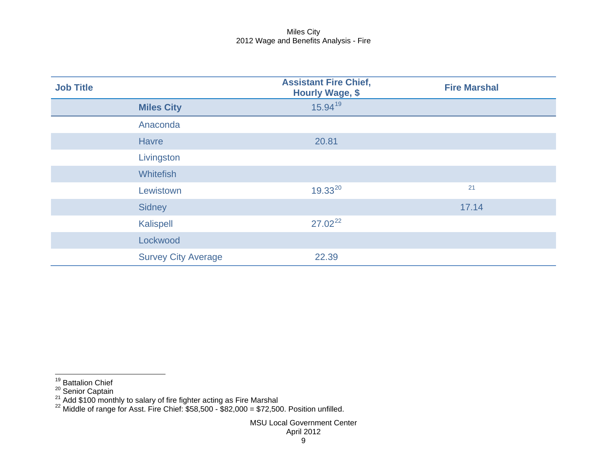<span id="page-9-2"></span><span id="page-9-1"></span><span id="page-9-0"></span>

| <b>Job Title</b> |                            | <b>Assistant Fire Chief,</b><br><b>Hourly Wage, \$</b> | <b>Fire Marshal</b> |
|------------------|----------------------------|--------------------------------------------------------|---------------------|
|                  | <b>Miles City</b>          | $15.94^{19}$                                           |                     |
|                  | Anaconda                   |                                                        |                     |
|                  | <b>Havre</b>               | 20.81                                                  |                     |
|                  | Livingston                 |                                                        |                     |
|                  | <b>Whitefish</b>           |                                                        |                     |
|                  | Lewistown                  | $19.33^{20}$                                           | 21                  |
|                  | Sidney                     |                                                        | 17.14               |
|                  | Kalispell                  | $27.02^{22}$                                           |                     |
|                  | Lockwood                   |                                                        |                     |
|                  | <b>Survey City Average</b> | 22.39                                                  |                     |

<sup>19</sup> Battalion Chief

<sup>&</sup>lt;sup>20</sup> Senior Captain<br><sup>21</sup> Add \$100 monthly to salary of fire fighter acting as Fire Marshal<br><sup>22</sup> Middle of range for Asst. Fire Chief: \$58,500 - \$82,000 = \$72,500. Position unfilled.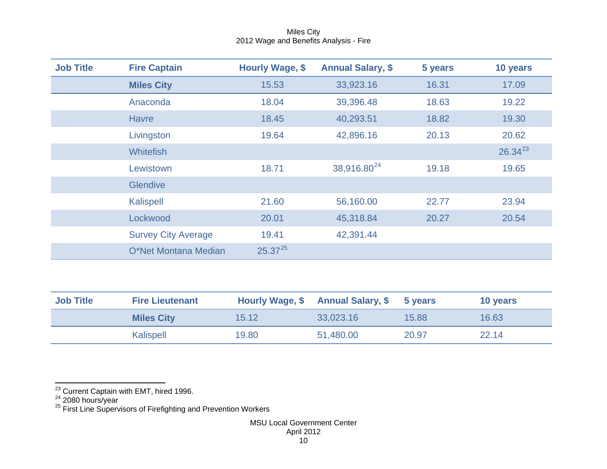<span id="page-10-2"></span><span id="page-10-1"></span><span id="page-10-0"></span>

| <b>Job Title</b> | <b>Fire Captain</b>        | Hourly Wage, \$ | <b>Annual Salary, \$</b> | 5 years | 10 years     |
|------------------|----------------------------|-----------------|--------------------------|---------|--------------|
|                  | <b>Miles City</b>          | 15.53           | 33,923.16                | 16.31   | 17.09        |
|                  | Anaconda                   | 18.04           | 39,396.48                | 18.63   | 19.22        |
|                  | <b>Havre</b>               | 18.45           | 40,293.51                | 18.82   | 19.30        |
|                  | Livingston                 | 19.64           | 42,896.16                | 20.13   | 20.62        |
|                  | <b>Whitefish</b>           |                 |                          |         | $26.34^{23}$ |
|                  | Lewistown                  | 18.71           | 38,916.80 <sup>24</sup>  | 19.18   | 19.65        |
|                  | <b>Glendive</b>            |                 |                          |         |              |
|                  | Kalispell                  | 21.60           | 56,160.00                | 22.77   | 23.94        |
|                  | Lockwood                   | 20.01           | 45,318.84                | 20.27   | 20.54        |
|                  | <b>Survey City Average</b> | 19.41           | 42,391.44                |         |              |
|                  | O*Net Montana Median       | $25.37^{25}$    |                          |         |              |

| <b>Job Title</b> | <b>Fire Lieutenant</b> |       | Hourly Wage, \$ Annual Salary, \$ | 5 years | 10 years |
|------------------|------------------------|-------|-----------------------------------|---------|----------|
|                  | <b>Miles City</b>      | 15.12 | 33,023.16                         | 15.88   | 16.63    |
|                  | Kalispell              | 19.80 | 51,480.00                         | 20.97   | 22.14    |

<sup>&</sup>lt;sup>23</sup> Current Captain with EMT, hired 1996.<br><sup>24</sup> 2080 hours/year<br><sup>25</sup> First Line Supervisors of Firefighting and Prevention Workers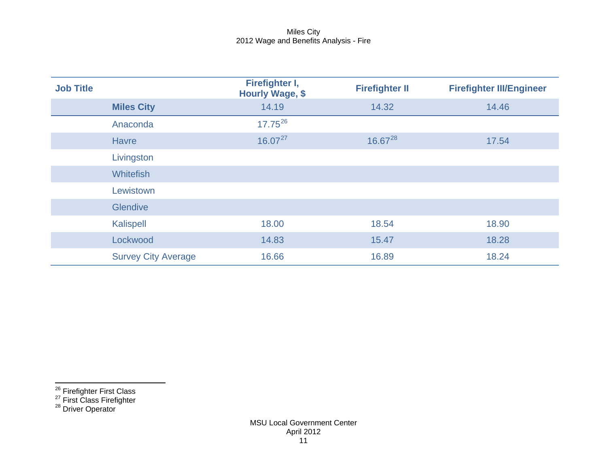<span id="page-11-2"></span><span id="page-11-1"></span><span id="page-11-0"></span>

| <b>Job Title</b> |                            | Firefighter I,<br><b>Hourly Wage, \$</b> | <b>Firefighter II</b> | <b>Firefighter III/Engineer</b> |
|------------------|----------------------------|------------------------------------------|-----------------------|---------------------------------|
|                  | <b>Miles City</b>          | 14.19                                    | 14.32                 | 14.46                           |
|                  | Anaconda                   | $17.75^{26}$                             |                       |                                 |
|                  | <b>Havre</b>               | $16.07^{27}$                             | $16.67^{28}$          | 17.54                           |
|                  | Livingston                 |                                          |                       |                                 |
|                  | <b>Whitefish</b>           |                                          |                       |                                 |
|                  | Lewistown                  |                                          |                       |                                 |
|                  | <b>Glendive</b>            |                                          |                       |                                 |
|                  | <b>Kalispell</b>           | 18.00                                    | 18.54                 | 18.90                           |
|                  | Lockwood                   | 14.83                                    | 15.47                 | 18.28                           |
|                  | <b>Survey City Average</b> | 16.66                                    | 16.89                 | 18.24                           |

 $\frac{26}{27}$  Firefighter First Class<br>
<sup>27</sup> First Class Firefighter<br>
<sup>28</sup> Driver Operator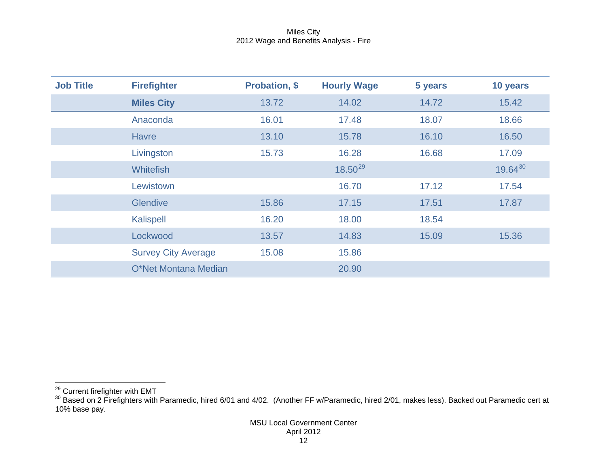<span id="page-12-1"></span><span id="page-12-0"></span>

| <b>Job Title</b> | <b>Firefighter</b>         | <b>Probation, \$</b> | <b>Hourly Wage</b> | 5 years | 10 years     |
|------------------|----------------------------|----------------------|--------------------|---------|--------------|
|                  | <b>Miles City</b>          | 13.72                | 14.02              | 14.72   | 15.42        |
|                  | Anaconda                   | 16.01                | 17.48              | 18.07   | 18.66        |
|                  | <b>Havre</b>               | 13.10                | 15.78              | 16.10   | 16.50        |
|                  | Livingston                 | 15.73                | 16.28              | 16.68   | 17.09        |
|                  | <b>Whitefish</b>           |                      | $18.50^{29}$       |         | $19.64^{30}$ |
|                  | Lewistown                  |                      | 16.70              | 17.12   | 17.54        |
|                  | <b>Glendive</b>            | 15.86                | 17.15              | 17.51   | 17.87        |
|                  | Kalispell                  | 16.20                | 18.00              | 18.54   |              |
|                  | Lockwood                   | 13.57                | 14.83              | 15.09   | 15.36        |
|                  | <b>Survey City Average</b> | 15.08                | 15.86              |         |              |
|                  | O*Net Montana Median       |                      | 20.90              |         |              |

<sup>&</sup>lt;sup>29</sup> Current firefighter with EMT<br><sup>30</sup> Based on 2 Firefighters with Paramedic, hired 6/01 and 4/02. (Another FF w/Paramedic, hired 2/01, makes less). Backed out Paramedic cert at 10% base pay.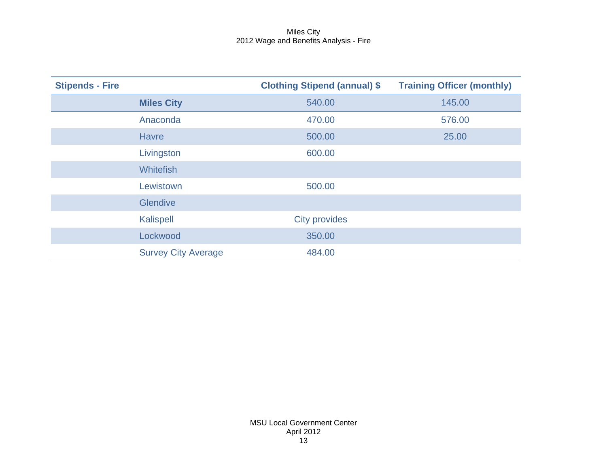| <b>Stipends - Fire</b> |                            | <b>Clothing Stipend (annual) \$</b> | <b>Training Officer (monthly)</b> |
|------------------------|----------------------------|-------------------------------------|-----------------------------------|
|                        | <b>Miles City</b>          | 540.00                              | 145.00                            |
|                        | Anaconda                   | 470.00                              | 576.00                            |
|                        | <b>Havre</b>               | 500.00                              | 25.00                             |
|                        | Livingston                 | 600.00                              |                                   |
|                        | <b>Whitefish</b>           |                                     |                                   |
|                        | Lewistown                  | 500.00                              |                                   |
|                        | <b>Glendive</b>            |                                     |                                   |
|                        | <b>Kalispell</b>           | <b>City provides</b>                |                                   |
|                        | Lockwood                   | 350.00                              |                                   |
|                        | <b>Survey City Average</b> | 484.00                              |                                   |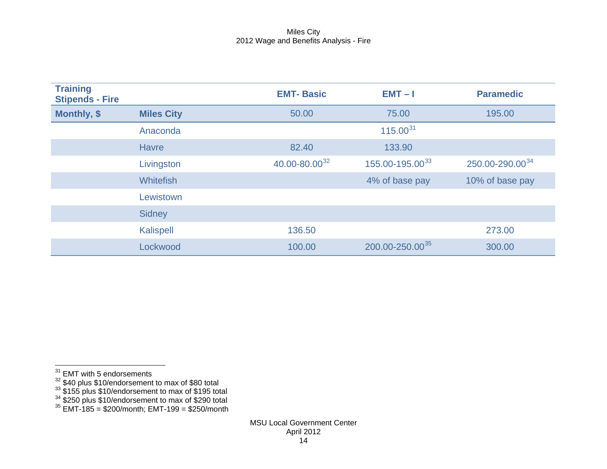<span id="page-14-4"></span><span id="page-14-3"></span><span id="page-14-2"></span><span id="page-14-1"></span><span id="page-14-0"></span>

| <b>Training</b><br><b>Stipends - Fire</b> |                   | <b>EMT-Basic</b>          | $EMT - I$                   | <b>Paramedic</b>            |
|-------------------------------------------|-------------------|---------------------------|-----------------------------|-----------------------------|
| Monthly, \$                               | <b>Miles City</b> | 50.00                     | 75.00                       | 195.00                      |
|                                           | Anaconda          |                           | $115.00^{31}$               |                             |
|                                           | <b>Havre</b>      | 82.40                     | 133.90                      |                             |
|                                           | Livingston        | 40.00-80.00 <sup>32</sup> | 155.00-195.00 <sup>33</sup> | 250.00-290.00 <sup>34</sup> |
|                                           | <b>Whitefish</b>  |                           | 4% of base pay              | 10% of base pay             |
|                                           | Lewistown         |                           |                             |                             |
|                                           | <b>Sidney</b>     |                           |                             |                             |
|                                           | <b>Kalispell</b>  | 136.50                    |                             | 273.00                      |
|                                           | Lockwood          | 100.00                    | 200.00-250.00 <sup>35</sup> | 300.00                      |

 $31$  EMT with 5 endorsements

 $\frac{32}{10}$  \$40 plus \$10/endorsement to max of \$80 total

 $\frac{33}{1}$  \$155 plus \$10/endorsement to max of \$195 total

 $34$  \$250 plus \$10/endorsement to max of \$290 total

 $35$  EMT-185 = \$200/month; EMT-199 = \$250/month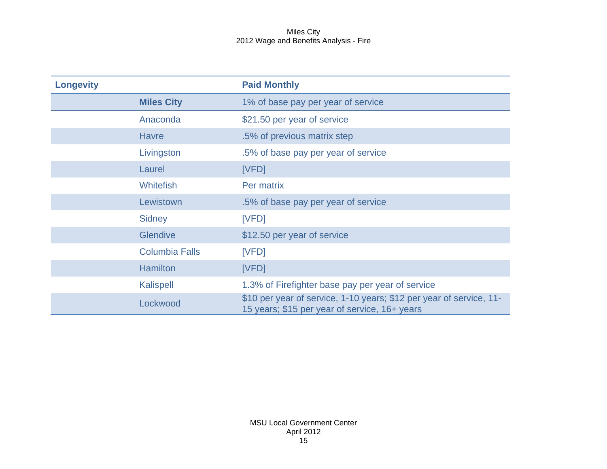| <b>Longevity</b> |                       | <b>Paid Monthly</b>                                                                                                  |
|------------------|-----------------------|----------------------------------------------------------------------------------------------------------------------|
|                  | <b>Miles City</b>     | 1% of base pay per year of service                                                                                   |
|                  | Anaconda              | \$21.50 per year of service                                                                                          |
|                  | <b>Havre</b>          | .5% of previous matrix step                                                                                          |
|                  | Livingston            | .5% of base pay per year of service                                                                                  |
|                  | Laurel                | [VFD]                                                                                                                |
|                  | <b>Whitefish</b>      | Per matrix                                                                                                           |
|                  | Lewistown             | .5% of base pay per year of service                                                                                  |
|                  | <b>Sidney</b>         | [VFD]                                                                                                                |
|                  | <b>Glendive</b>       | \$12.50 per year of service                                                                                          |
|                  | <b>Columbia Falls</b> | [VFD]                                                                                                                |
|                  | <b>Hamilton</b>       | [VFD]                                                                                                                |
|                  | Kalispell             | 1.3% of Firefighter base pay per year of service                                                                     |
|                  | Lockwood              | \$10 per year of service, 1-10 years; \$12 per year of service, 11-<br>15 years; \$15 per year of service, 16+ years |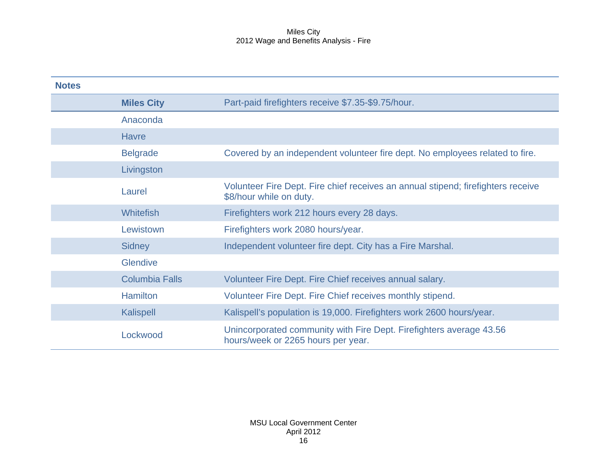| <b>Notes</b> |                       |                                                                                                             |
|--------------|-----------------------|-------------------------------------------------------------------------------------------------------------|
|              | <b>Miles City</b>     | Part-paid firefighters receive \$7.35-\$9.75/hour.                                                          |
|              | Anaconda              |                                                                                                             |
|              | <b>Havre</b>          |                                                                                                             |
|              | <b>Belgrade</b>       | Covered by an independent volunteer fire dept. No employees related to fire.                                |
|              | Livingston            |                                                                                                             |
|              | Laurel                | Volunteer Fire Dept. Fire chief receives an annual stipend; firefighters receive<br>\$8/hour while on duty. |
|              | <b>Whitefish</b>      | Firefighters work 212 hours every 28 days.                                                                  |
|              | Lewistown             | Firefighters work 2080 hours/year.                                                                          |
|              | <b>Sidney</b>         | Independent volunteer fire dept. City has a Fire Marshal.                                                   |
|              | Glendive              |                                                                                                             |
|              | <b>Columbia Falls</b> | Volunteer Fire Dept. Fire Chief receives annual salary.                                                     |
|              | <b>Hamilton</b>       | Volunteer Fire Dept. Fire Chief receives monthly stipend.                                                   |
|              | <b>Kalispell</b>      | Kalispell's population is 19,000. Firefighters work 2600 hours/year.                                        |
|              | Lockwood              | Unincorporated community with Fire Dept. Firefighters average 43.56<br>hours/week or 2265 hours per year.   |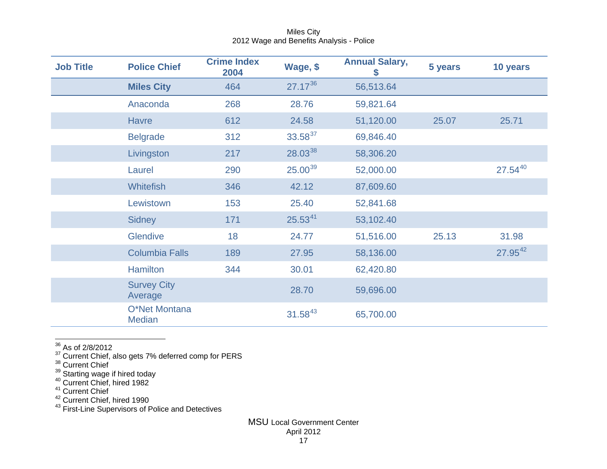<span id="page-17-6"></span><span id="page-17-5"></span><span id="page-17-4"></span><span id="page-17-3"></span><span id="page-17-2"></span><span id="page-17-1"></span><span id="page-17-0"></span>

| <b>Job Title</b> | <b>Police Chief</b>            | <b>Crime Index</b><br>2004 | Wage, \$     | <b>Annual Salary,</b> | 5 years | 10 years     |
|------------------|--------------------------------|----------------------------|--------------|-----------------------|---------|--------------|
|                  | <b>Miles City</b>              | 464                        | $27.17^{36}$ | 56,513.64             |         |              |
|                  | Anaconda                       | 268                        | 28.76        | 59,821.64             |         |              |
|                  | <b>Havre</b>                   | 612                        | 24.58        | 51,120.00             | 25.07   | 25.71        |
|                  | <b>Belgrade</b>                | 312                        | $33.58^{37}$ | 69,846.40             |         |              |
|                  | Livingston                     | 217                        | $28.03^{38}$ | 58,306.20             |         |              |
|                  | Laurel                         | 290                        | $25.00^{39}$ | 52,000.00             |         | $27.54^{40}$ |
|                  | <b>Whitefish</b>               | 346                        | 42.12        | 87,609.60             |         |              |
|                  | Lewistown                      | 153                        | 25.40        | 52,841.68             |         |              |
|                  | <b>Sidney</b>                  | 171                        | $25.53^{41}$ | 53,102.40             |         |              |
|                  | Glendive                       | 18                         | 24.77        | 51,516.00             | 25.13   | 31.98        |
|                  | <b>Columbia Falls</b>          | 189                        | 27.95        | 58,136.00             |         | $27.95^{42}$ |
|                  | <b>Hamilton</b>                | 344                        | 30.01        | 62,420.80             |         |              |
|                  | <b>Survey City</b><br>Average  |                            | 28.70        | 59,696.00             |         |              |
|                  | O*Net Montana<br><b>Median</b> |                            | $31.58^{43}$ | 65,700.00             |         |              |

 $36$  As of 2/8/2012

 $\frac{37}{3}$  Current Chief, also gets 7% deferred comp for PERS<br> $\frac{38}{10}$  Current Chief

<sup>39</sup> Starting wage if hired today<br><sup>40</sup> Current Chief, hired 1982

 $141$  Current Chief

<sup>42</sup> Current Chief, hired 1990

<sup>43</sup> First-Line Supervisors of Police and Detectives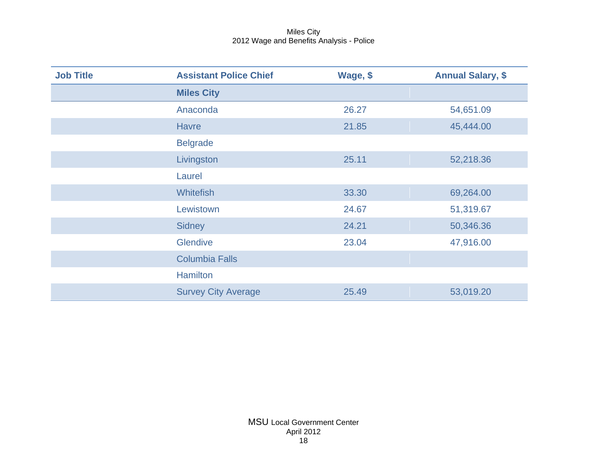| <b>Job Title</b> | <b>Assistant Police Chief</b> | Wage, \$ | <b>Annual Salary, \$</b> |
|------------------|-------------------------------|----------|--------------------------|
|                  | <b>Miles City</b>             |          |                          |
|                  | Anaconda                      | 26.27    | 54,651.09                |
|                  | <b>Havre</b>                  | 21.85    | 45,444.00                |
|                  | <b>Belgrade</b>               |          |                          |
|                  | Livingston                    | 25.11    | 52,218.36                |
|                  | Laurel                        |          |                          |
|                  | <b>Whitefish</b>              | 33.30    | 69,264.00                |
|                  | Lewistown                     | 24.67    | 51,319.67                |
|                  | <b>Sidney</b>                 | 24.21    | 50,346.36                |
|                  | <b>Glendive</b>               | 23.04    | 47,916.00                |
|                  | <b>Columbia Falls</b>         |          |                          |
|                  | <b>Hamilton</b>               |          |                          |
|                  | <b>Survey City Average</b>    | 25.49    | 53,019.20                |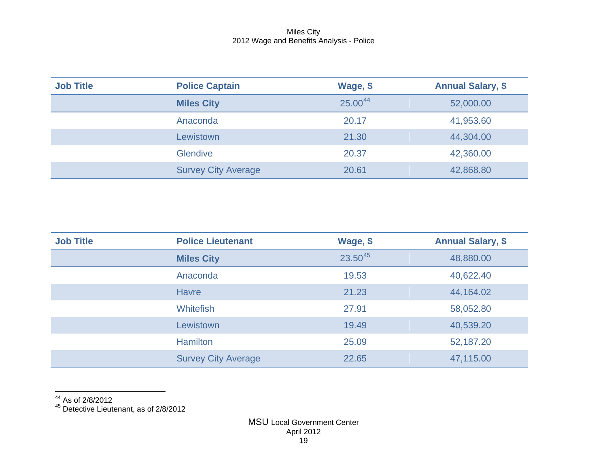<span id="page-19-1"></span><span id="page-19-0"></span>

| <b>Job Title</b> | <b>Police Captain</b>      | Wage, \$ | <b>Annual Salary, \$</b> |
|------------------|----------------------------|----------|--------------------------|
|                  | <b>Miles City</b>          | 25.0044  | 52,000.00                |
|                  | Anaconda                   | 20.17    | 41,953.60                |
|                  | Lewistown                  | 21.30    | 44,304.00                |
|                  | <b>Glendive</b>            | 20.37    | 42,360.00                |
|                  | <b>Survey City Average</b> | 20.61    | 42,868.80                |

| <b>Job Title</b> | <b>Police Lieutenant</b>   | Wage, \$ | <b>Annual Salary, \$</b> |
|------------------|----------------------------|----------|--------------------------|
|                  | <b>Miles City</b>          | 23.5045  | 48,880.00                |
|                  | Anaconda                   | 19.53    | 40,622.40                |
|                  | <b>Havre</b>               | 21.23    | 44,164.02                |
|                  | <b>Whitefish</b>           | 27.91    | 58,052.80                |
|                  | Lewistown                  | 19.49    | 40,539.20                |
|                  | <b>Hamilton</b>            | 25.09    | 52,187.20                |
|                  | <b>Survey City Average</b> | 22.65    | 47,115.00                |

 $44$  As of 2/8/2012

<sup>45</sup> Detective Lieutenant, as of 2/8/2012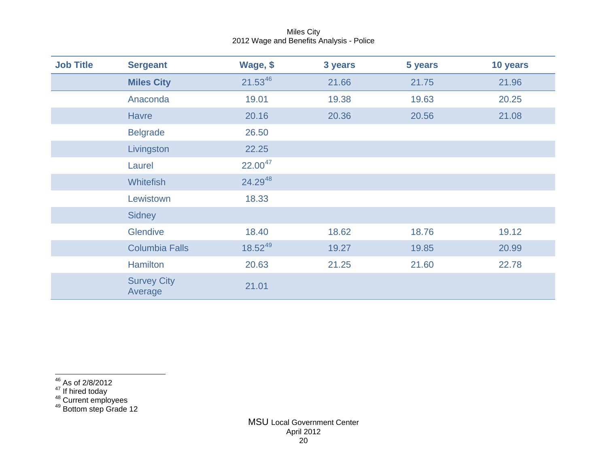<span id="page-20-3"></span><span id="page-20-2"></span><span id="page-20-1"></span><span id="page-20-0"></span>

| <b>Job Title</b> | <b>Sergeant</b>               | Wage, \$     | 3 years | 5 years | 10 years |
|------------------|-------------------------------|--------------|---------|---------|----------|
|                  | <b>Miles City</b>             | $21.53^{46}$ | 21.66   | 21.75   | 21.96    |
|                  | Anaconda                      | 19.01        | 19.38   | 19.63   | 20.25    |
|                  | <b>Havre</b>                  | 20.16        | 20.36   | 20.56   | 21.08    |
|                  | <b>Belgrade</b>               | 26.50        |         |         |          |
|                  | Livingston                    | 22.25        |         |         |          |
|                  | Laurel                        | $22.00^{47}$ |         |         |          |
|                  | <b>Whitefish</b>              | 24.2948      |         |         |          |
|                  | Lewistown                     | 18.33        |         |         |          |
|                  | <b>Sidney</b>                 |              |         |         |          |
|                  | Glendive                      | 18.40        | 18.62   | 18.76   | 19.12    |
|                  | <b>Columbia Falls</b>         | $18.52^{49}$ | 19.27   | 19.85   | 20.99    |
|                  | <b>Hamilton</b>               | 20.63        | 21.25   | 21.60   | 22.78    |
|                  | <b>Survey City</b><br>Average | 21.01        |         |         |          |

- 
- 
- <sup>47</sup> If hired today<br><sup>48</sup> Current employees<br><sup>49</sup> Bottom step Grade 12

 $\frac{46}{10}$  As of 2/8/2012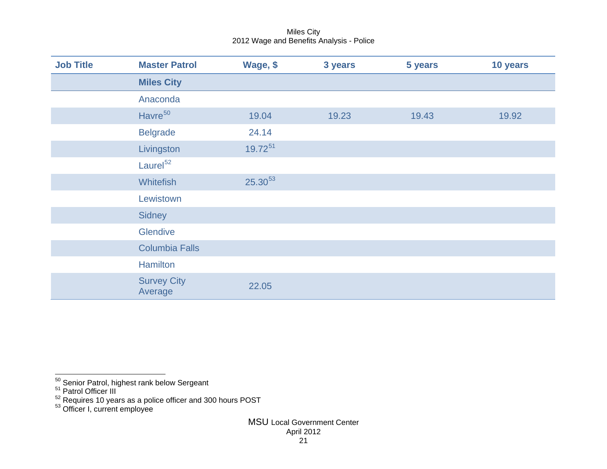<span id="page-21-3"></span><span id="page-21-2"></span><span id="page-21-1"></span><span id="page-21-0"></span>

| <b>Job Title</b> | <b>Master Patrol</b>          | Wage, \$     | 3 years | 5 years | 10 years |
|------------------|-------------------------------|--------------|---------|---------|----------|
|                  | <b>Miles City</b>             |              |         |         |          |
|                  | Anaconda                      |              |         |         |          |
|                  | Havre <sup>50</sup>           | 19.04        | 19.23   | 19.43   | 19.92    |
|                  | <b>Belgrade</b>               | 24.14        |         |         |          |
|                  | Livingston                    | $19.72^{51}$ |         |         |          |
|                  | Laurel <sup>52</sup>          |              |         |         |          |
|                  | <b>Whitefish</b>              | $25.30^{53}$ |         |         |          |
|                  | Lewistown                     |              |         |         |          |
|                  | Sidney                        |              |         |         |          |
|                  | Glendive                      |              |         |         |          |
|                  | <b>Columbia Falls</b>         |              |         |         |          |
|                  | Hamilton                      |              |         |         |          |
|                  | <b>Survey City</b><br>Average | 22.05        |         |         |          |

<sup>&</sup>lt;sup>50</sup> Senior Patrol, highest rank below Sergeant<br><sup>51</sup> Patrol Officer III

 $^{52}$  Requires 10 years as a police officer and 300 hours POST  $^{53}$  Officer I, current employee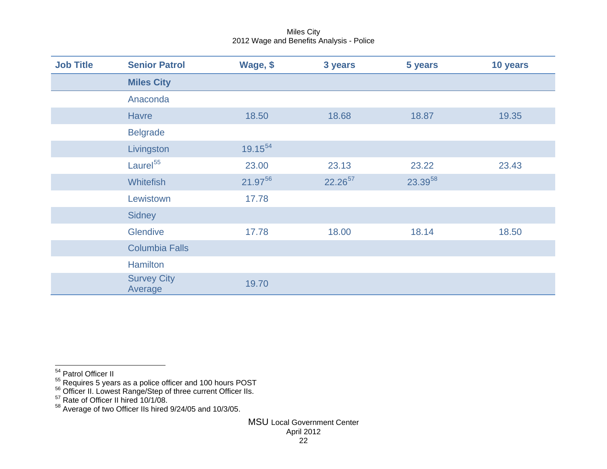<span id="page-22-4"></span><span id="page-22-3"></span><span id="page-22-2"></span><span id="page-22-1"></span><span id="page-22-0"></span>

| <b>Job Title</b> | <b>Senior Patrol</b>          | Wage, \$ | 3 years             | 5 years | 10 years |
|------------------|-------------------------------|----------|---------------------|---------|----------|
|                  | <b>Miles City</b>             |          |                     |         |          |
|                  | Anaconda                      |          |                     |         |          |
|                  | <b>Havre</b>                  | 18.50    | 18.68               | 18.87   | 19.35    |
|                  | <b>Belgrade</b>               |          |                     |         |          |
|                  | Livingston                    | 19.1554  |                     |         |          |
|                  | Laurel <sup>55</sup>          | 23.00    | 23.13               | 23.22   | 23.43    |
|                  | Whitefish                     | 21.9756  | 22.26 <sup>57</sup> | 23.3958 |          |
|                  | Lewistown                     | 17.78    |                     |         |          |
|                  | <b>Sidney</b>                 |          |                     |         |          |
|                  | <b>Glendive</b>               | 17.78    | 18.00               | 18.14   | 18.50    |
|                  | <b>Columbia Falls</b>         |          |                     |         |          |
|                  | <b>Hamilton</b>               |          |                     |         |          |
|                  | <b>Survey City</b><br>Average | 19.70    |                     |         |          |

<sup>&</sup>lt;sup>54</sup> Patrol Officer II

 $^{55}$  Requires 5 years as a police officer and 100 hours POST<br> $^{56}$  Officer II. Lowest Range/Step of three current Officer IIs.<br> $^{57}$  Rate of Officer II hired 10/1/08.

 $58$  Average of two Officer IIs hired 9/24/05 and 10/3/05.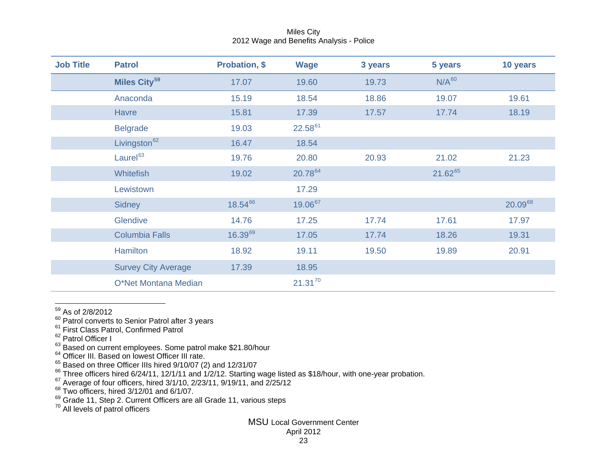| <b>Job Title</b> | <b>Patrol</b>              | <b>Probation, \$</b> | <b>Wage</b>  | 3 years | 5 years      | 10 years |
|------------------|----------------------------|----------------------|--------------|---------|--------------|----------|
|                  | Miles City <sup>59</sup>   | 17.07                | 19.60        | 19.73   | $N/A^{60}$   |          |
|                  | Anaconda                   | 15.19                | 18.54        | 18.86   | 19.07        | 19.61    |
|                  | <b>Havre</b>               | 15.81                | 17.39        | 17.57   | 17.74        | 18.19    |
|                  | <b>Belgrade</b>            | 19.03                | 22.5861      |         |              |          |
|                  | Livingston <sup>62</sup>   | 16.47                | 18.54        |         |              |          |
|                  | Laurel <sup>63</sup>       | 19.76                | 20.80        | 20.93   | 21.02        | 21.23    |
|                  | <b>Whitefish</b>           | 19.02                | 20.7864      |         | $21.62^{65}$ |          |
|                  | Lewistown                  |                      | 17.29        |         |              |          |
|                  | Sidney                     | 18.5466              | 19.0667      |         |              | 20.0968  |
|                  | Glendive                   | 14.76                | 17.25        | 17.74   | 17.61        | 17.97    |
|                  | <b>Columbia Falls</b>      | $16.39^{69}$         | 17.05        | 17.74   | 18.26        | 19.31    |
|                  | Hamilton                   | 18.92                | 19.11        | 19.50   | 19.89        | 20.91    |
|                  | <b>Survey City Average</b> | 17.39                | 18.95        |         |              |          |
|                  | O*Net Montana Median       |                      | $21.31^{70}$ |         |              |          |

<span id="page-23-10"></span><span id="page-23-9"></span><span id="page-23-8"></span><span id="page-23-7"></span><span id="page-23-6"></span><span id="page-23-5"></span><span id="page-23-4"></span><span id="page-23-3"></span><span id="page-23-2"></span><span id="page-23-1"></span><span id="page-23-0"></span>Miles City 2012 Wage and Benefits Analysis - Police

59 As of 2/8/2012

<sup>60</sup> Patrol converts to Senior Patrol after 3 years<br><sup>61</sup> First Class Patrol, Confirmed Patrol

- 
- $\frac{62}{1}$  Patrol Officer I

 $^{63}$  Based on current employees. Some patrol make \$21.80/hour<br> $^{64}_{12}$  Officer III. Based on lowest Officer III rate.

 $^{65}$  Based on three Officer IIIs hired 9/10/07 (2) and 12/31/07<br> $^{66}$  Three officers hired 6/24/11, 12/1/11 and 1/2/12. Starting wage listed as \$18/hour, with one-year probation.<br> $^{67}$  Average of four officers, hired

69 Grade 11, Step 2. Current Officers are all Grade 11, various steps <sup>70</sup> All levels of patrol officers

## MSU Local Government Center

April 2012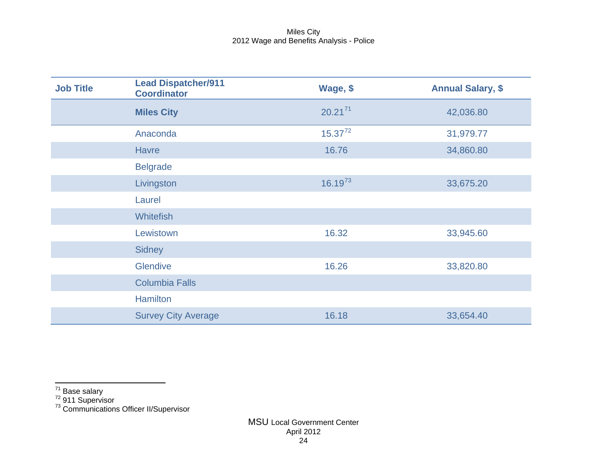<span id="page-24-2"></span><span id="page-24-1"></span><span id="page-24-0"></span>

| <b>Job Title</b> | <b>Lead Dispatcher/911</b><br><b>Coordinator</b> | Wage, \$     | <b>Annual Salary, \$</b> |
|------------------|--------------------------------------------------|--------------|--------------------------|
|                  | <b>Miles City</b>                                | $20.21^{71}$ | 42,036.80                |
|                  | Anaconda                                         | $15.37^{72}$ | 31,979.77                |
|                  | <b>Havre</b>                                     | 16.76        | 34,860.80                |
|                  | <b>Belgrade</b>                                  |              |                          |
|                  | Livingston                                       | $16.19^{73}$ | 33,675.20                |
|                  | Laurel                                           |              |                          |
|                  | <b>Whitefish</b>                                 |              |                          |
|                  | Lewistown                                        | 16.32        | 33,945.60                |
|                  | <b>Sidney</b>                                    |              |                          |
|                  | Glendive                                         | 16.26        | 33,820.80                |
|                  | <b>Columbia Falls</b>                            |              |                          |
|                  | <b>Hamilton</b>                                  |              |                          |
|                  | <b>Survey City Average</b>                       | 16.18        | 33,654.40                |

 $\frac{71}{71}$  Base salary<br><sup>72</sup> 911 Supervisor<br><sup>73</sup> Communications Officer II/Supervisor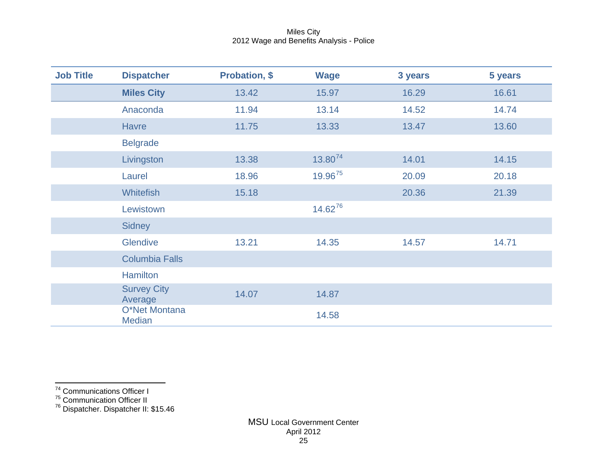<span id="page-25-1"></span><span id="page-25-0"></span>

| <b>Job Title</b> | <b>Dispatcher</b>              | <b>Probation, \$</b> | <b>Wage</b>         | 3 years | 5 years |
|------------------|--------------------------------|----------------------|---------------------|---------|---------|
|                  | <b>Miles City</b>              | 13.42                | 15.97               | 16.29   | 16.61   |
|                  | Anaconda                       | 11.94                | 13.14               | 14.52   | 14.74   |
|                  | <b>Havre</b>                   | 11.75                | 13.33               | 13.47   | 13.60   |
|                  | <b>Belgrade</b>                |                      |                     |         |         |
|                  | Livingston                     | 13.38                | 13.80 <sup>74</sup> | 14.01   | 14.15   |
|                  | Laurel                         | 18.96                | 19.9675             | 20.09   | 20.18   |
|                  | <b>Whitefish</b>               | 15.18                |                     | 20.36   | 21.39   |
|                  | Lewistown                      |                      | 14.6276             |         |         |
|                  | <b>Sidney</b>                  |                      |                     |         |         |
|                  | Glendive                       | 13.21                | 14.35               | 14.57   | 14.71   |
|                  | <b>Columbia Falls</b>          |                      |                     |         |         |
|                  | <b>Hamilton</b>                |                      |                     |         |         |
|                  | <b>Survey City</b><br>Average  | 14.07                | 14.87               |         |         |
|                  | O*Net Montana<br><b>Median</b> |                      | 14.58               |         |         |

<sup>75</sup> Communication Officer II

<sup>&</sup>lt;sup>74</sup> Communications Officer I

<sup>&</sup>lt;sup>76</sup> Dispatcher. Dispatcher II: \$15.46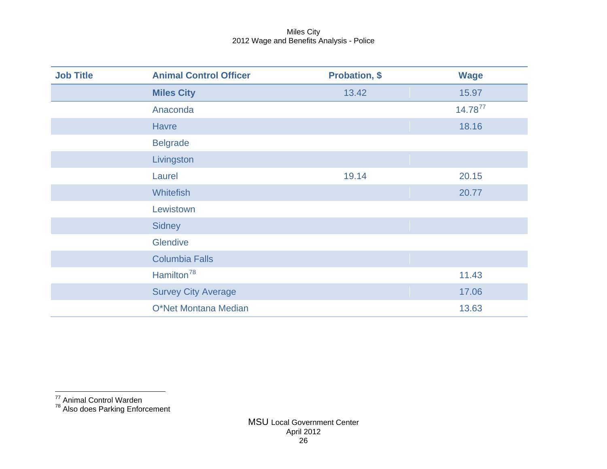<span id="page-26-0"></span>

| <b>Job Title</b> | <b>Animal Control Officer</b> | <b>Probation, \$</b> | <b>Wage</b>  |
|------------------|-------------------------------|----------------------|--------------|
|                  | <b>Miles City</b>             | 13.42                | 15.97        |
|                  | Anaconda                      |                      | $14.78^{77}$ |
|                  | <b>Havre</b>                  |                      | 18.16        |
|                  | <b>Belgrade</b>               |                      |              |
|                  | Livingston                    |                      |              |
|                  | Laurel                        | 19.14                | 20.15        |
|                  | <b>Whitefish</b>              |                      | 20.77        |
|                  | Lewistown                     |                      |              |
|                  | <b>Sidney</b>                 |                      |              |
|                  | Glendive                      |                      |              |
|                  | <b>Columbia Falls</b>         |                      |              |
|                  | Hamilton <sup>78</sup>        |                      | 11.43        |
|                  | <b>Survey City Average</b>    |                      | 17.06        |
|                  | O*Net Montana Median          |                      | 13.63        |

 <sup>77</sup> Animal Control Warden

<sup>&</sup>lt;sup>78</sup> Also does Parking Enforcement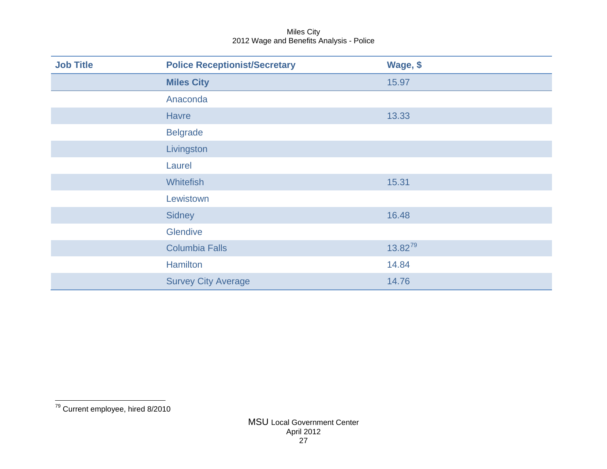<span id="page-27-0"></span>

| <b>Job Title</b> | <b>Police Receptionist/Secretary</b> | Wage, \$     |
|------------------|--------------------------------------|--------------|
|                  | <b>Miles City</b>                    | 15.97        |
|                  | Anaconda                             |              |
|                  | <b>Havre</b>                         | 13.33        |
|                  | <b>Belgrade</b>                      |              |
|                  | Livingston                           |              |
|                  | Laurel                               |              |
|                  | Whitefish                            | 15.31        |
|                  | Lewistown                            |              |
|                  | Sidney                               | 16.48        |
|                  | Glendive                             |              |
|                  | <b>Columbia Falls</b>                | $13.82^{79}$ |
|                  | <b>Hamilton</b>                      | 14.84        |
|                  | <b>Survey City Average</b>           | 14.76        |

 $\frac{1}{79}$  Current employee, hired 8/2010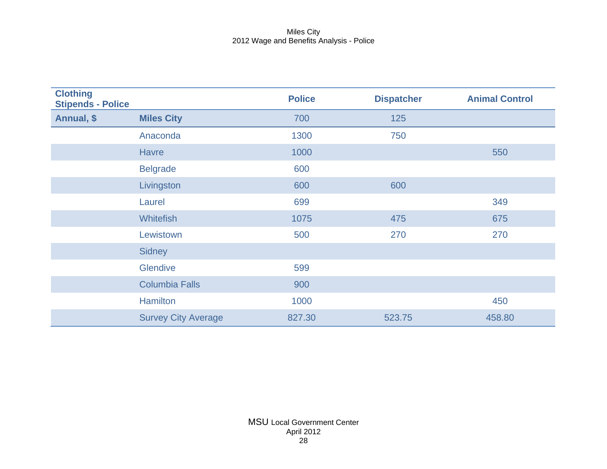| <b>Clothing</b><br><b>Stipends - Police</b> |                            | <b>Police</b> | <b>Dispatcher</b> | <b>Animal Control</b> |
|---------------------------------------------|----------------------------|---------------|-------------------|-----------------------|
| Annual, \$                                  | <b>Miles City</b>          | 700           | 125               |                       |
|                                             | Anaconda                   | 1300          | 750               |                       |
|                                             | <b>Havre</b>               | 1000          |                   | 550                   |
|                                             | <b>Belgrade</b>            | 600           |                   |                       |
|                                             | Livingston                 | 600           | 600               |                       |
|                                             | Laurel                     | 699           |                   | 349                   |
|                                             | <b>Whitefish</b>           | 1075          | 475               | 675                   |
|                                             | Lewistown                  | 500           | 270               | 270                   |
|                                             | <b>Sidney</b>              |               |                   |                       |
|                                             | Glendive                   | 599           |                   |                       |
|                                             | <b>Columbia Falls</b>      | 900           |                   |                       |
|                                             | <b>Hamilton</b>            | 1000          |                   | 450                   |
|                                             | <b>Survey City Average</b> | 827.30        | 523.75            | 458.80                |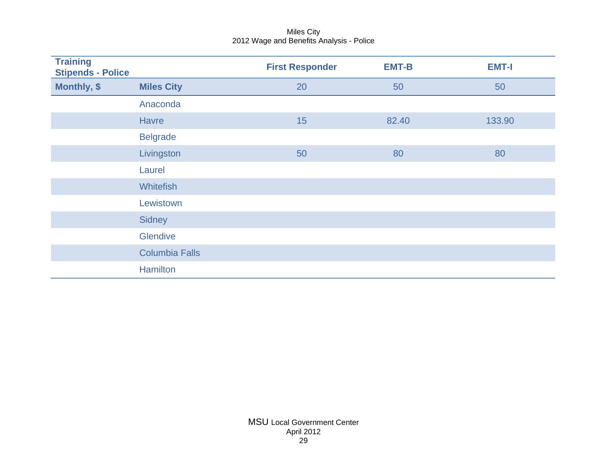| <b>Training</b><br><b>Stipends - Police</b> |                       | <b>First Responder</b> | <b>EMT-B</b> | <b>EMT-I</b> |
|---------------------------------------------|-----------------------|------------------------|--------------|--------------|
| Monthly, \$                                 | <b>Miles City</b>     | 20                     | 50           | 50           |
|                                             | Anaconda              |                        |              |              |
|                                             | <b>Havre</b>          | 15                     | 82.40        | 133.90       |
|                                             | <b>Belgrade</b>       |                        |              |              |
|                                             | Livingston            | 50                     | 80           | 80           |
|                                             | Laurel                |                        |              |              |
|                                             | <b>Whitefish</b>      |                        |              |              |
|                                             | Lewistown             |                        |              |              |
|                                             | <b>Sidney</b>         |                        |              |              |
|                                             | Glendive              |                        |              |              |
|                                             | <b>Columbia Falls</b> |                        |              |              |
|                                             | Hamilton              |                        |              |              |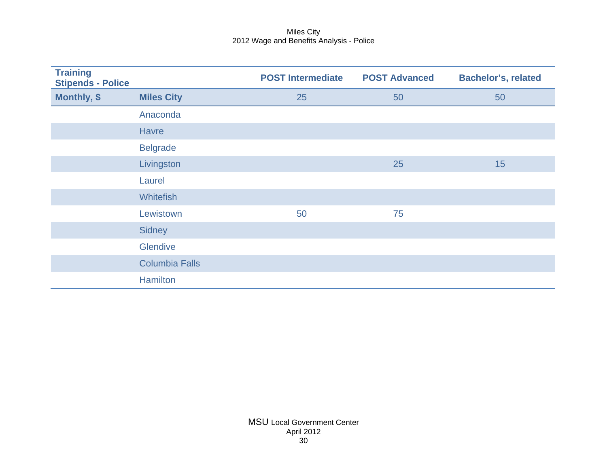| <b>Training</b><br><b>Stipends - Police</b> |                       | <b>POST Intermediate</b> | <b>POST Advanced</b> | <b>Bachelor's, related</b> |
|---------------------------------------------|-----------------------|--------------------------|----------------------|----------------------------|
| Monthly, \$                                 | <b>Miles City</b>     | 25                       | 50                   | 50                         |
|                                             | Anaconda              |                          |                      |                            |
|                                             | <b>Havre</b>          |                          |                      |                            |
|                                             | <b>Belgrade</b>       |                          |                      |                            |
|                                             | Livingston            |                          | 25                   | 15                         |
|                                             | Laurel                |                          |                      |                            |
|                                             | <b>Whitefish</b>      |                          |                      |                            |
|                                             | Lewistown             | 50                       | 75                   |                            |
|                                             | <b>Sidney</b>         |                          |                      |                            |
|                                             | Glendive              |                          |                      |                            |
|                                             | <b>Columbia Falls</b> |                          |                      |                            |
|                                             | <b>Hamilton</b>       |                          |                      |                            |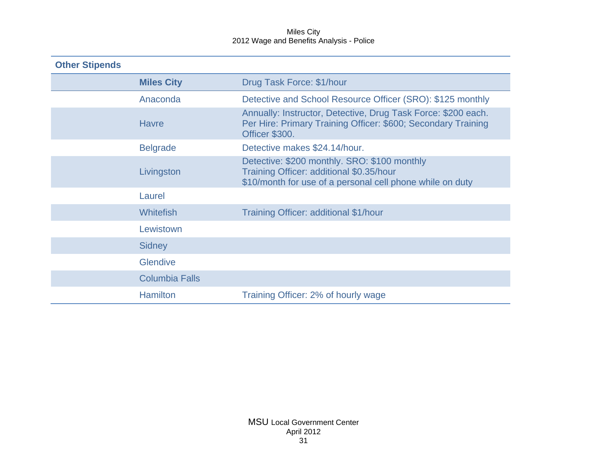| <b>Other Stipends</b> |                       |                                                                                                                                                       |  |  |
|-----------------------|-----------------------|-------------------------------------------------------------------------------------------------------------------------------------------------------|--|--|
|                       | <b>Miles City</b>     | Drug Task Force: \$1/hour                                                                                                                             |  |  |
|                       | Anaconda              | Detective and School Resource Officer (SRO): \$125 monthly                                                                                            |  |  |
|                       | <b>Havre</b>          | Annually: Instructor, Detective, Drug Task Force: \$200 each.<br>Per Hire: Primary Training Officer: \$600; Secondary Training<br>Officer \$300.      |  |  |
|                       | <b>Belgrade</b>       | Detective makes \$24.14/hour.                                                                                                                         |  |  |
|                       | Livingston            | Detective: \$200 monthly. SRO: \$100 monthly<br>Training Officer: additional \$0.35/hour<br>\$10/month for use of a personal cell phone while on duty |  |  |
|                       | Laurel                |                                                                                                                                                       |  |  |
|                       | <b>Whitefish</b>      | Training Officer: additional \$1/hour                                                                                                                 |  |  |
|                       | Lewistown             |                                                                                                                                                       |  |  |
|                       | <b>Sidney</b>         |                                                                                                                                                       |  |  |
|                       | <b>Glendive</b>       |                                                                                                                                                       |  |  |
|                       | <b>Columbia Falls</b> |                                                                                                                                                       |  |  |
|                       | <b>Hamilton</b>       | Training Officer: 2% of hourly wage                                                                                                                   |  |  |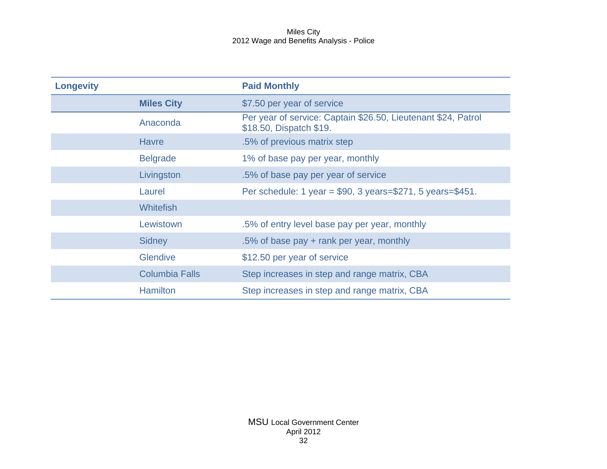| <b>Longevity</b> |                       | <b>Paid Monthly</b>                                                                      |
|------------------|-----------------------|------------------------------------------------------------------------------------------|
|                  | <b>Miles City</b>     | \$7.50 per year of service                                                               |
|                  | Anaconda              | Per year of service: Captain \$26.50, Lieutenant \$24, Patrol<br>\$18.50, Dispatch \$19. |
|                  | <b>Havre</b>          | .5% of previous matrix step                                                              |
|                  | <b>Belgrade</b>       | 1% of base pay per year, monthly                                                         |
|                  | Livingston            | .5% of base pay per year of service                                                      |
|                  | Laurel                | Per schedule: 1 year = $$90, 3 \text{ years} = $271, 5 \text{ years} = $451.$            |
|                  | <b>Whitefish</b>      |                                                                                          |
|                  | Lewistown             | .5% of entry level base pay per year, monthly                                            |
|                  | <b>Sidney</b>         | .5% of base pay + rank per year, monthly                                                 |
|                  | <b>Glendive</b>       | \$12.50 per year of service                                                              |
|                  | <b>Columbia Falls</b> | Step increases in step and range matrix, CBA                                             |
|                  | <b>Hamilton</b>       | Step increases in step and range matrix, CBA                                             |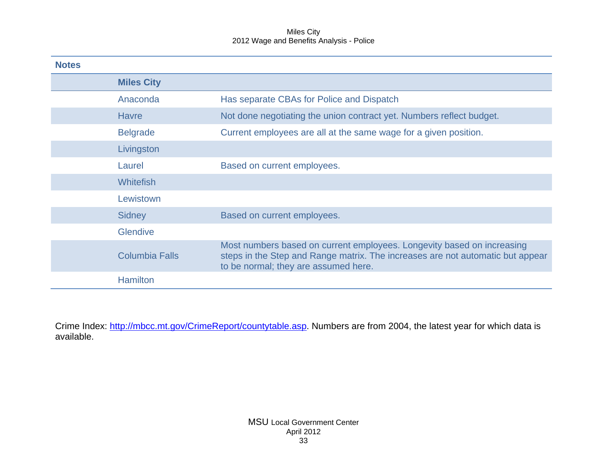| <b>Notes</b> |                       |                                                                                                                                                                                                  |
|--------------|-----------------------|--------------------------------------------------------------------------------------------------------------------------------------------------------------------------------------------------|
|              | <b>Miles City</b>     |                                                                                                                                                                                                  |
|              | Anaconda              | Has separate CBAs for Police and Dispatch                                                                                                                                                        |
|              | <b>Havre</b>          | Not done negotiating the union contract yet. Numbers reflect budget.                                                                                                                             |
|              | <b>Belgrade</b>       | Current employees are all at the same wage for a given position.                                                                                                                                 |
|              | Livingston            |                                                                                                                                                                                                  |
|              | Laurel                | Based on current employees.                                                                                                                                                                      |
|              | <b>Whitefish</b>      |                                                                                                                                                                                                  |
|              | Lewistown             |                                                                                                                                                                                                  |
|              | <b>Sidney</b>         | Based on current employees.                                                                                                                                                                      |
|              | <b>Glendive</b>       |                                                                                                                                                                                                  |
|              | <b>Columbia Falls</b> | Most numbers based on current employees. Longevity based on increasing<br>steps in the Step and Range matrix. The increases are not automatic but appear<br>to be normal; they are assumed here. |
|              | <b>Hamilton</b>       |                                                                                                                                                                                                  |

Crime Index: [http://mbcc.mt.gov/CrimeReport/countytable.asp.](http://mbcc.mt.gov/CrimeReport/countytable.asp) Numbers are from 2004, the latest year for which data is available.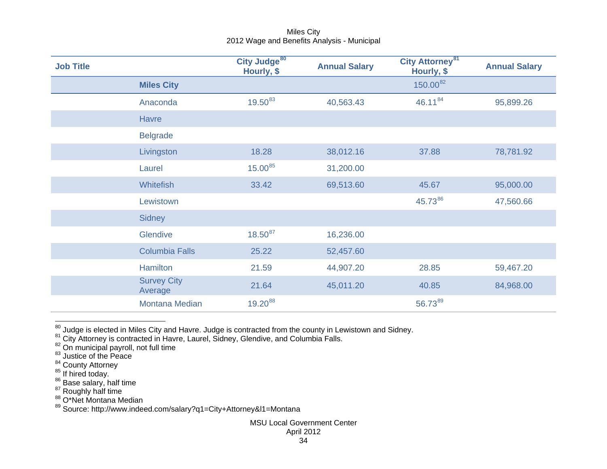<span id="page-34-8"></span><span id="page-34-7"></span><span id="page-34-6"></span><span id="page-34-5"></span><span id="page-34-4"></span><span id="page-34-3"></span><span id="page-34-2"></span><span id="page-34-1"></span><span id="page-34-0"></span>

| <b>Job Title</b> |                               | City Judge <sup>80</sup><br>Hourly, \$ | <b>Annual Salary</b> | City Attorney <sup>81</sup><br>Hourly, \$ | <b>Annual Salary</b> |
|------------------|-------------------------------|----------------------------------------|----------------------|-------------------------------------------|----------------------|
|                  | <b>Miles City</b>             |                                        |                      | $150.00^{82}$                             |                      |
|                  | Anaconda                      | $19.50^{83}$                           | 40,563.43            | 46.1184                                   | 95,899.26            |
|                  | <b>Havre</b>                  |                                        |                      |                                           |                      |
|                  | <b>Belgrade</b>               |                                        |                      |                                           |                      |
|                  | Livingston                    | 18.28                                  | 38,012.16            | 37.88                                     | 78,781.92            |
|                  | Laurel                        | 15.00 <sup>85</sup>                    | 31,200.00            |                                           |                      |
|                  | Whitefish                     | 33.42                                  | 69,513.60            | 45.67                                     | 95,000.00            |
|                  | Lewistown                     |                                        |                      | 45.7386                                   | 47,560.66            |
|                  | <b>Sidney</b>                 |                                        |                      |                                           |                      |
|                  | Glendive                      | $18.50^{87}$                           | 16,236.00            |                                           |                      |
|                  | <b>Columbia Falls</b>         | 25.22                                  | 52,457.60            |                                           |                      |
|                  | Hamilton                      | 21.59                                  | 44,907.20            | 28.85                                     | 59,467.20            |
|                  | <b>Survey City</b><br>Average | 21.64                                  | 45,011.20            | 40.85                                     | 84,968.00            |
|                  | <b>Montana Median</b>         | 19.2088                                |                      | 56.7389                                   |                      |

<sup>&</sup>lt;sup>80</sup> Judge is elected in Miles City and Havre. Judge is contracted from the county in Lewistown and Sidney.<br><sup>81</sup> City Attorney is contracted in Havre, Laurel, Sidney, Glendive, and Columbia Falls.

 $\frac{82}{3}$  On municipal payroll, not full time<br> $\frac{83}{3}$  Justice of the Peace

<sup>&</sup>lt;sup>84</sup> County Attorney<br><sup>85</sup> If hired today.<br><sup>86</sup> Base salary, half time<br><sup>87</sup> Roughly half time <sup>88</sup> O\*Net Montana Median

<sup>&</sup>lt;sup>89</sup> Source: http://www.indeed.com/salary?q1=City+Attorney&l1=Montana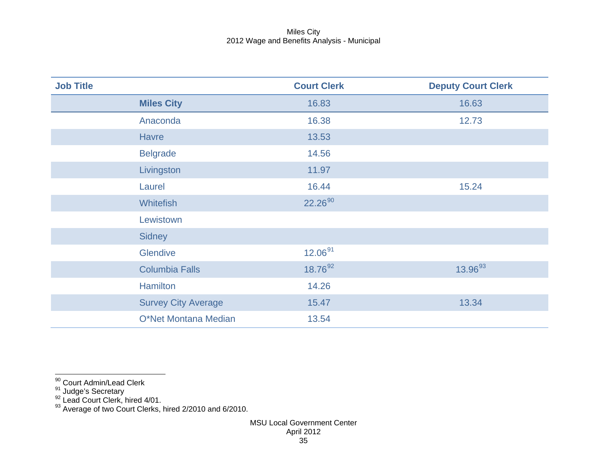<span id="page-35-3"></span><span id="page-35-2"></span><span id="page-35-1"></span><span id="page-35-0"></span>

| <b>Job Title</b> |                            | <b>Court Clerk</b> | <b>Deputy Court Clerk</b> |
|------------------|----------------------------|--------------------|---------------------------|
|                  | <b>Miles City</b>          | 16.83              | 16.63                     |
|                  | Anaconda                   | 16.38              | 12.73                     |
|                  | <b>Havre</b>               | 13.53              |                           |
|                  | <b>Belgrade</b>            | 14.56              |                           |
|                  | Livingston                 | 11.97              |                           |
|                  | Laurel                     | 16.44              | 15.24                     |
|                  | <b>Whitefish</b>           | 22.26 90           |                           |
|                  | Lewistown                  |                    |                           |
|                  | <b>Sidney</b>              |                    |                           |
|                  | Glendive                   | $12.06^{91}$       |                           |
|                  | <b>Columbia Falls</b>      | 18.7692            | 13.96 <sup>93</sup>       |
|                  | Hamilton                   | 14.26              |                           |
|                  | <b>Survey City Average</b> | 15.47              | 13.34                     |
|                  | O*Net Montana Median       | 13.54              |                           |

90<br><sup>90</sup> Court Admin/Lead Clerk

<sup>91</sup> Judge's Secretary<br><sup>92</sup> Lead Court Clerk, hired 4/01.

 $93$  Average of two Court Clerks, hired 2/2010 and 6/2010.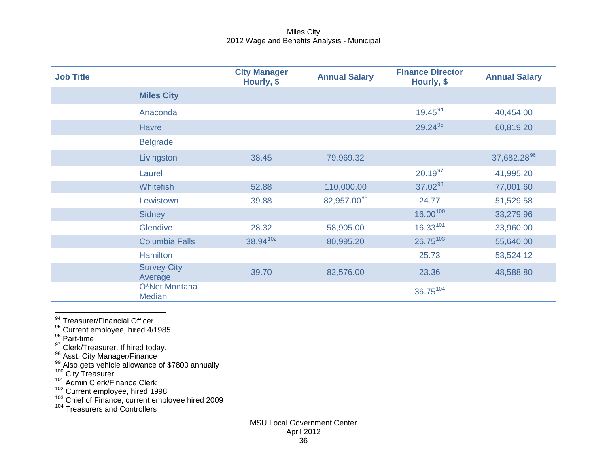<span id="page-36-10"></span><span id="page-36-9"></span><span id="page-36-8"></span><span id="page-36-7"></span><span id="page-36-6"></span><span id="page-36-5"></span><span id="page-36-4"></span><span id="page-36-3"></span><span id="page-36-2"></span><span id="page-36-1"></span><span id="page-36-0"></span>

| <b>Job Title</b> |                                | <b>City Manager</b><br>Hourly, \$ | <b>Annual Salary</b>    | <b>Finance Director</b><br>Hourly, \$ | <b>Annual Salary</b>    |
|------------------|--------------------------------|-----------------------------------|-------------------------|---------------------------------------|-------------------------|
|                  | <b>Miles City</b>              |                                   |                         |                                       |                         |
|                  | Anaconda                       |                                   |                         | 19.45 94                              | 40,454.00               |
|                  | <b>Havre</b>                   |                                   |                         | 29.2495                               | 60,819.20               |
|                  | <b>Belgrade</b>                |                                   |                         |                                       |                         |
|                  | Livingston                     | 38.45                             | 79,969.32               |                                       | 37,682.28 <sup>96</sup> |
|                  | Laurel                         |                                   |                         | $20.19^{97}$                          | 41,995.20               |
|                  | <b>Whitefish</b>               | 52.88                             | 110,000.00              | 37.02 98                              | 77,001.60               |
|                  | Lewistown                      | 39.88                             | 82,957.00 <sup>99</sup> | 24.77                                 | 51,529.58               |
|                  | <b>Sidney</b>                  |                                   |                         | $16.00^{100}$                         | 33,279.96               |
|                  | Glendive                       | 28.32                             | 58,905.00               | $16.33^{101}$                         | 33,960.00               |
|                  | <b>Columbia Falls</b>          | 38.94102                          | 80,995.20               | $26.75^{103}$                         | 55,640.00               |
|                  | <b>Hamilton</b>                |                                   |                         | 25.73                                 | 53,524.12               |
|                  | <b>Survey City</b><br>Average  | 39.70                             | 82,576.00               | 23.36                                 | 48,588.80               |
|                  | O*Net Montana<br><b>Median</b> |                                   |                         | 36.75104                              |                         |

<sup>94</sup> Treasurer/Financial Officer

<sup>95</sup> Current employee, hired 4/1985<br><sup>96</sup> Part-time

<sup>97</sup> Clerk/Treasurer. If hired today.<br><sup>98</sup> Asst. City Manager/Finance<br><sup>99</sup> Also gets vehicle allowance of \$7800 annually 100 City Treasurer 101 Admin Clerk/Finance Clerk

<sup>102</sup> Current employee, hired 1998<br><sup>103</sup> Chief of Finance, current employee hired 2009

<sup>104</sup> Treasurers and Controllers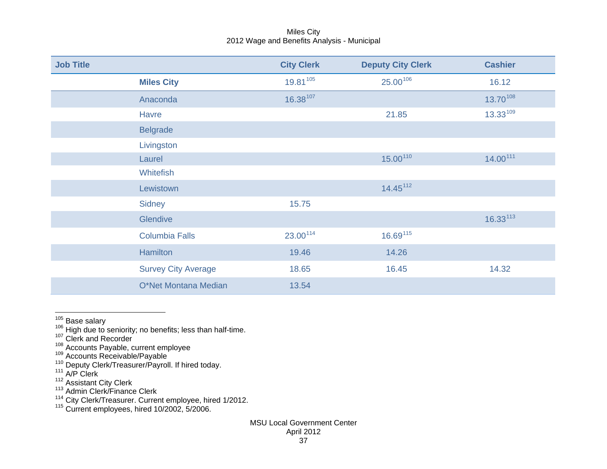<span id="page-37-9"></span><span id="page-37-8"></span><span id="page-37-7"></span><span id="page-37-6"></span><span id="page-37-5"></span><span id="page-37-4"></span><span id="page-37-3"></span><span id="page-37-2"></span><span id="page-37-1"></span><span id="page-37-0"></span>

| <b>Job Title</b> |                            | <b>City Clerk</b> | <b>Deputy City Clerk</b> | <b>Cashier</b> |
|------------------|----------------------------|-------------------|--------------------------|----------------|
|                  | <b>Miles City</b>          | 19.81105          | 25.00106                 | 16.12          |
|                  | Anaconda                   | 16.38107          |                          | 13.70108       |
|                  | <b>Havre</b>               |                   | 21.85                    | $13.33^{109}$  |
|                  | <b>Belgrade</b>            |                   |                          |                |
|                  | Livingston                 |                   |                          |                |
|                  | Laurel                     |                   | 15.00110                 | 14.00111       |
|                  | <b>Whitefish</b>           |                   |                          |                |
|                  | Lewistown                  |                   | 14.45 <sup>112</sup>     |                |
|                  | <b>Sidney</b>              | 15.75             |                          |                |
|                  | Glendive                   |                   |                          | $16.33^{113}$  |
|                  | <b>Columbia Falls</b>      | 23.00114          | 16.69115                 |                |
|                  | <b>Hamilton</b>            | 19.46             | 14.26                    |                |
|                  | <b>Survey City Average</b> | 18.65             | 16.45                    | 14.32          |
|                  | O*Net Montana Median       | 13.54             |                          |                |

- $\frac{105}{105}$  Base salary<br><sup>105</sup> Base salary<br>... High due to seniority; no benefits; less than half-time.
- $107$  Clerk and Recorder
- 
- 
- <sup>108</sup> Accounts Payable, current employee<br><sup>109</sup> Accounts Receivable/Payable<br><sup>110</sup> Deputy Clerk/Treasurer/Payroll. If hired today.<br><sup>111</sup> A/P Clerk
- 
- 
- <sup>112</sup> Assistant City Clerk<br><sup>113</sup> Admin Clerk/Finance Clerk
- <sup>114</sup> City Clerk/Treasurer. Current employee, hired 1/2012.<br><sup>115</sup> Current employees, hired 10/2002, 5/2006.
-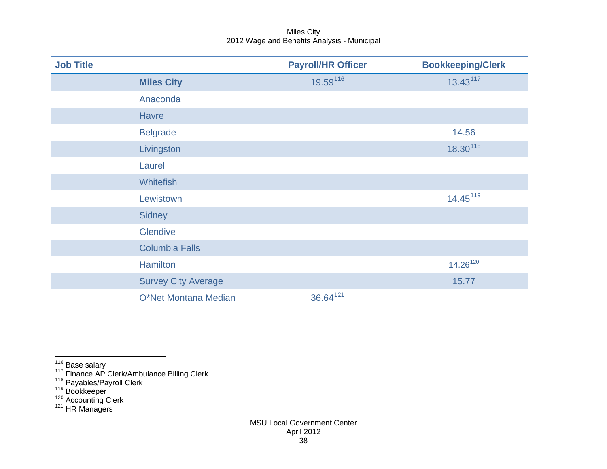<span id="page-38-5"></span><span id="page-38-4"></span><span id="page-38-3"></span><span id="page-38-2"></span><span id="page-38-1"></span><span id="page-38-0"></span>

| <b>Job Title</b> |                            | <b>Payroll/HR Officer</b> | <b>Bookkeeping/Clerk</b> |
|------------------|----------------------------|---------------------------|--------------------------|
|                  | <b>Miles City</b>          | 19.59116                  | $13.43^{117}$            |
|                  | Anaconda                   |                           |                          |
|                  | <b>Havre</b>               |                           |                          |
|                  | <b>Belgrade</b>            |                           | 14.56                    |
|                  | Livingston                 |                           | 18.30118                 |
|                  | Laurel                     |                           |                          |
|                  | <b>Whitefish</b>           |                           |                          |
|                  | Lewistown                  |                           | 14.45 <sup>119</sup>     |
|                  | <b>Sidney</b>              |                           |                          |
|                  | Glendive                   |                           |                          |
|                  | <b>Columbia Falls</b>      |                           |                          |
|                  | <b>Hamilton</b>            |                           | 14.26 <sup>120</sup>     |
|                  | <b>Survey City Average</b> |                           | 15.77                    |
|                  | O*Net Montana Median       | 36.64121                  |                          |

<sup>&</sup>lt;sup>116</sup> Base salary<br><sup>117</sup> Finance AP Clerk/Ambulance Billing Clerk<br><sup>118</sup> Payables/Payroll Clerk<br><sup>119</sup> Bookkeeper<br><sup>120</sup> Accounting Clerk<br><sup>121</sup> HR Managers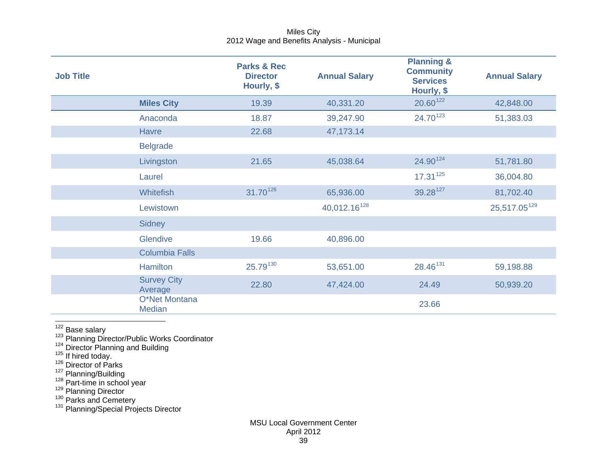<span id="page-39-8"></span><span id="page-39-7"></span><span id="page-39-6"></span><span id="page-39-5"></span><span id="page-39-4"></span><span id="page-39-3"></span><span id="page-39-2"></span><span id="page-39-1"></span><span id="page-39-0"></span>

| <b>Job Title</b> |                                | <b>Parks &amp; Rec</b><br><b>Director</b><br>Hourly, \$ | <b>Annual Salary</b>     | <b>Planning &amp;</b><br><b>Community</b><br><b>Services</b><br>Hourly, \$ | <b>Annual Salary</b>     |
|------------------|--------------------------------|---------------------------------------------------------|--------------------------|----------------------------------------------------------------------------|--------------------------|
|                  | <b>Miles City</b>              | 19.39                                                   | 40,331.20                | 20.60122                                                                   | 42,848.00                |
|                  | Anaconda                       | 18.87                                                   | 39,247.90                | 24.70 <sup>123</sup>                                                       | 51,383.03                |
|                  | Havre                          | 22.68                                                   | 47,173.14                |                                                                            |                          |
|                  | <b>Belgrade</b>                |                                                         |                          |                                                                            |                          |
|                  | Livingston                     | 21.65                                                   | 45,038.64                | 24.90124                                                                   | 51,781.80                |
|                  | Laurel                         |                                                         |                          | $17.31^{125}$                                                              | 36,004.80                |
|                  | <b>Whitefish</b>               | 31.70 <sup>126</sup>                                    | 65,936.00                | 39.28127                                                                   | 81,702.40                |
|                  | Lewistown                      |                                                         | 40,012.16 <sup>128</sup> |                                                                            | 25,517.05 <sup>129</sup> |
|                  | <b>Sidney</b>                  |                                                         |                          |                                                                            |                          |
|                  | Glendive                       | 19.66                                                   | 40,896.00                |                                                                            |                          |
|                  | <b>Columbia Falls</b>          |                                                         |                          |                                                                            |                          |
|                  | <b>Hamilton</b>                | 25.79130                                                | 53,651.00                | 28.46 <sup>131</sup>                                                       | 59,198.88                |
|                  | <b>Survey City</b><br>Average  | 22.80                                                   | 47,424.00                | 24.49                                                                      | 50,939.20                |
|                  | O*Net Montana<br><b>Median</b> |                                                         |                          | 23.66                                                                      |                          |

 $\frac{122}{123}$  Base salary<br> $\frac{123}{123}$  Planning Director/Public Works Coordinator

<sup>124</sup> Director Planning and Building<br><sup>125</sup> If hired today.<br><sup>126</sup> Director of Parks

<sup>127</sup> Planning/Building<br><sup>128</sup> Part-time in school year<br><sup>129</sup> Planning Director<br><sup>130</sup> Parks and Cemetery <sup>131</sup> Planning/Special Projects Director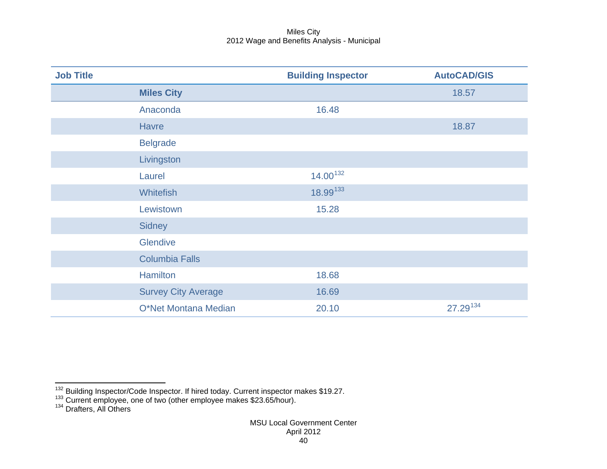<span id="page-40-2"></span><span id="page-40-1"></span><span id="page-40-0"></span>

| <b>Job Title</b> |                            | <b>Building Inspector</b> | <b>AutoCAD/GIS</b> |
|------------------|----------------------------|---------------------------|--------------------|
|                  | <b>Miles City</b>          |                           | 18.57              |
|                  | Anaconda                   | 16.48                     |                    |
|                  | <b>Havre</b>               |                           | 18.87              |
|                  | <b>Belgrade</b>            |                           |                    |
|                  | Livingston                 |                           |                    |
|                  | Laurel                     | $14.00^{132}$             |                    |
|                  | <b>Whitefish</b>           | 18.99133                  |                    |
|                  | Lewistown                  | 15.28                     |                    |
|                  | <b>Sidney</b>              |                           |                    |
|                  | Glendive                   |                           |                    |
|                  | <b>Columbia Falls</b>      |                           |                    |
|                  | <b>Hamilton</b>            | 18.68                     |                    |
|                  | <b>Survey City Average</b> | 16.69                     |                    |
|                  | O*Net Montana Median       | 20.10                     | 27.29134           |

 $^{132}$  Building Inspector/Code Inspector. If hired today. Current inspector makes \$19.27.<br> $^{133}$  Current employee, one of two (other employee makes \$23.65/hour).<br> $^{134}$  Drafters, All Others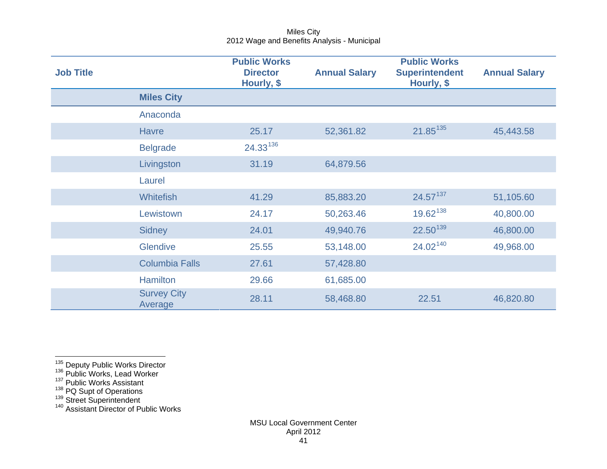<span id="page-41-5"></span><span id="page-41-4"></span><span id="page-41-3"></span><span id="page-41-2"></span><span id="page-41-1"></span><span id="page-41-0"></span>

| <b>Job Title</b> |                               | <b>Public Works</b><br><b>Director</b><br>Hourly, \$ | <b>Annual Salary</b> | <b>Public Works</b><br><b>Superintendent</b><br>Hourly, \$ | <b>Annual Salary</b> |
|------------------|-------------------------------|------------------------------------------------------|----------------------|------------------------------------------------------------|----------------------|
|                  | <b>Miles City</b>             |                                                      |                      |                                                            |                      |
|                  | Anaconda                      |                                                      |                      |                                                            |                      |
|                  | <b>Havre</b>                  | 25.17                                                | 52,361.82            | 21.85 <sup>135</sup>                                       | 45,443.58            |
|                  | <b>Belgrade</b>               | 24.33136                                             |                      |                                                            |                      |
|                  | Livingston                    | 31.19                                                | 64,879.56            |                                                            |                      |
|                  | Laurel                        |                                                      |                      |                                                            |                      |
|                  | <b>Whitefish</b>              | 41.29                                                | 85,883.20            | $24.57^{137}$                                              | 51,105.60            |
|                  | Lewistown                     | 24.17                                                | 50,263.46            | 19.62 <sup>138</sup>                                       | 40,800.00            |
|                  | Sidney                        | 24.01                                                | 49,940.76            | 22.50139                                                   | 46,800.00            |
|                  | Glendive                      | 25.55                                                | 53,148.00            | 24.02 <sup>140</sup>                                       | 49,968.00            |
|                  | <b>Columbia Falls</b>         | 27.61                                                | 57,428.80            |                                                            |                      |
|                  | <b>Hamilton</b>               | 29.66                                                | 61,685.00            |                                                            |                      |
|                  | <b>Survey City</b><br>Average | 28.11                                                | 58,468.80            | 22.51                                                      | 46,820.80            |

<sup>135</sup> Deputy Public Works Director<br><sup>136</sup> Public Works, Lead Worker

<sup>138</sup> PQ Supt of Operations<br><sup>139</sup> Street Superintendent<br><sup>140</sup> Assistant Director of Public Works

<sup>&</sup>lt;sup>137</sup> Public Works Assistant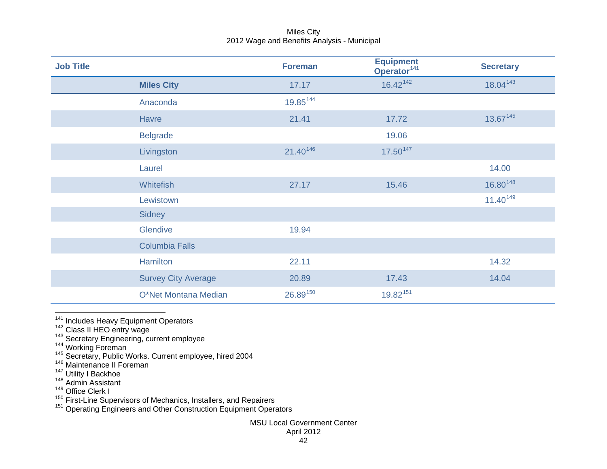<span id="page-42-9"></span><span id="page-42-8"></span><span id="page-42-7"></span><span id="page-42-6"></span><span id="page-42-5"></span><span id="page-42-4"></span><span id="page-42-3"></span><span id="page-42-2"></span><span id="page-42-1"></span><span id="page-42-0"></span>

| <b>Job Title</b> |                            | <b>Foreman</b> | <b>Equipment</b><br>Operator <sup>141</sup> | <b>Secretary</b> |
|------------------|----------------------------|----------------|---------------------------------------------|------------------|
|                  | <b>Miles City</b>          | 17.17          | $16.42^{142}$                               | 18.04143         |
|                  | Anaconda                   | 19.85144       |                                             |                  |
|                  | <b>Havre</b>               | 21.41          | 17.72                                       | 13.67145         |
|                  | <b>Belgrade</b>            |                | 19.06                                       |                  |
|                  | Livingston                 | 21.40146       | $17.50^{147}$                               |                  |
|                  | Laurel                     |                |                                             | 14.00            |
|                  | <b>Whitefish</b>           | 27.17          | 15.46                                       | 16.80148         |
|                  | Lewistown                  |                |                                             | $11.40^{149}$    |
|                  | <b>Sidney</b>              |                |                                             |                  |
|                  | Glendive                   | 19.94          |                                             |                  |
|                  | <b>Columbia Falls</b>      |                |                                             |                  |
|                  | Hamilton                   | 22.11          |                                             | 14.32            |
|                  | <b>Survey City Average</b> | 20.89          | 17.43                                       | 14.04            |
|                  | O*Net Montana Median       | 26.89150       | 19.82151                                    |                  |

- 
- 
- 
- <sup>141</sup> Includes Heavy Equipment Operators<br><sup>142</sup> Class II HEO entry wage<br><sup>143</sup> Secretary Engineering, current employee<br><sup>145</sup> Secretary, Public Works. Current employee, hired 2004
- <sup>146</sup> Maintenance II Foreman
- <sup>147</sup> Utility I Backhoe<br><sup>148</sup> Admin Assistant
- 
- $149$  Office Clerk I

150 Since Sienk 1<br>150 First-Line Supervisors of Mechanics, Installers, and Repairers<br>151 Operating Engineers and Other Construction Equipment Operators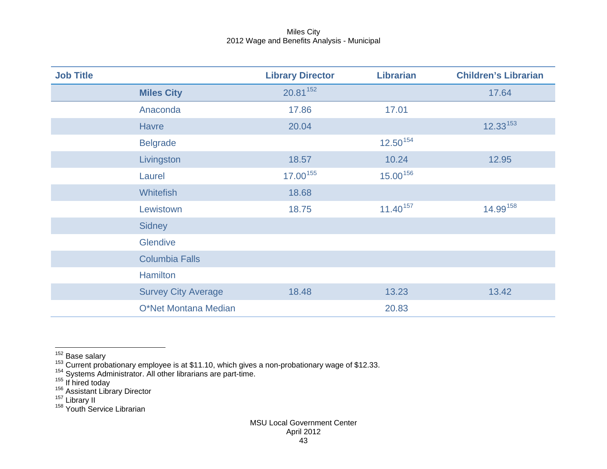<span id="page-43-6"></span><span id="page-43-5"></span><span id="page-43-4"></span><span id="page-43-3"></span><span id="page-43-2"></span><span id="page-43-1"></span><span id="page-43-0"></span>

| <b>Job Title</b> |                            | <b>Library Director</b> | <b>Librarian</b> | <b>Children's Librarian</b> |
|------------------|----------------------------|-------------------------|------------------|-----------------------------|
|                  | <b>Miles City</b>          | 20.81 152               |                  | 17.64                       |
|                  | Anaconda                   | 17.86                   | 17.01            |                             |
|                  | <b>Havre</b>               | 20.04                   |                  | $12.33^{153}$               |
|                  | <b>Belgrade</b>            |                         | $12.50^{154}$    |                             |
|                  | Livingston                 | 18.57                   | 10.24            | 12.95                       |
|                  | Laurel                     | 17.00155                | 15.00156         |                             |
|                  | <b>Whitefish</b>           | 18.68                   |                  |                             |
|                  | Lewistown                  | 18.75                   | $11.40^{157}$    | 14.99158                    |
|                  | <b>Sidney</b>              |                         |                  |                             |
|                  | <b>Glendive</b>            |                         |                  |                             |
|                  | <b>Columbia Falls</b>      |                         |                  |                             |
|                  | <b>Hamilton</b>            |                         |                  |                             |
|                  | <b>Survey City Average</b> | 18.48                   | 13.23            | 13.42                       |
|                  | O*Net Montana Median       |                         | 20.83            |                             |

<sup>1&</sup>lt;sup>52</sup> Base salary<br><sup>152</sup> Current probationary employee is at \$11.10, which gives a non-probationary wage of \$12.33.<br><sup>154</sup> Systems Administrator. All other librarians are part-time.

<sup>&</sup>lt;sup>155</sup> If hired today<br><sup>156</sup> Assistant Library Director<br><sup>157</sup> Library II<br><sup>158</sup> Youth Service Librarian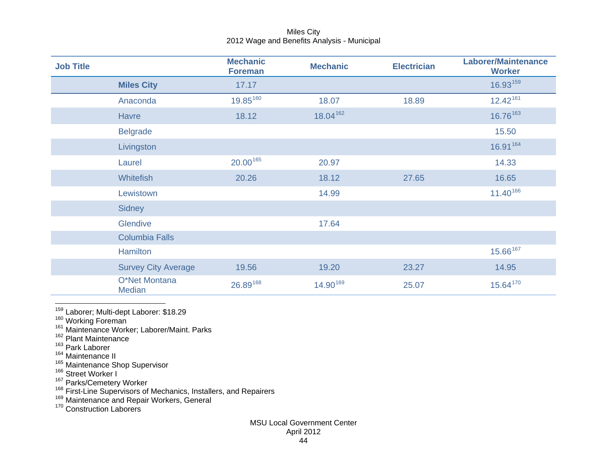<span id="page-44-10"></span><span id="page-44-9"></span><span id="page-44-8"></span><span id="page-44-7"></span><span id="page-44-6"></span><span id="page-44-5"></span><span id="page-44-4"></span><span id="page-44-3"></span><span id="page-44-2"></span><span id="page-44-1"></span><span id="page-44-0"></span>

| <b>Job Title</b> |                                | <b>Mechanic</b><br><b>Foreman</b> | <b>Mechanic</b> | <b>Electrician</b> | <b>Laborer/Maintenance</b><br><b>Worker</b> |
|------------------|--------------------------------|-----------------------------------|-----------------|--------------------|---------------------------------------------|
|                  | <b>Miles City</b>              | 17.17                             |                 |                    | 16.93159                                    |
|                  | Anaconda                       | 19.85160                          | 18.07           | 18.89              | $12.42^{161}$                               |
|                  | <b>Havre</b>                   | 18.12                             | 18.04 162       |                    | 16.76163                                    |
|                  | <b>Belgrade</b>                |                                   |                 |                    | 15.50                                       |
|                  | Livingston                     |                                   |                 |                    | 16.91 164                                   |
|                  | Laurel                         | 20.00165                          | 20.97           |                    | 14.33                                       |
|                  | Whitefish                      | 20.26                             | 18.12           | 27.65              | 16.65                                       |
|                  | Lewistown                      |                                   | 14.99           |                    | 11.40166                                    |
|                  | Sidney                         |                                   |                 |                    |                                             |
|                  | Glendive                       |                                   | 17.64           |                    |                                             |
|                  | <b>Columbia Falls</b>          |                                   |                 |                    |                                             |
|                  | <b>Hamilton</b>                |                                   |                 |                    | 15.66167                                    |
|                  | <b>Survey City Average</b>     | 19.56                             | 19.20           | 23.27              | 14.95                                       |
|                  | O*Net Montana<br><b>Median</b> | 26.89168                          | 14.90169        | 25.07              | 15.64170                                    |

1<sup>59</sup> Laborer; Multi-dept Laborer: \$18.29<br><sup>160</sup> Working Foreman<br><sup>161</sup> Maintenance Worker; Laborer/Maint. Parks

- $162$  Plant Maintenance
- <sup>163</sup> Park Laborer
- $^{164}$  Maintenance II
- <sup>165</sup> Maintenance Shop Supervisor<br><sup>166</sup> Street Worker I

<sup>167</sup> Parks/Cemetery Worker<br><sup>168</sup> First-Line Supervisors of Mechanics, Installers, and Repairers<br><sup>169</sup> Maintenance and Repair Workers, General

<sup>170</sup> Construction Laborers

## MSU Local Government Center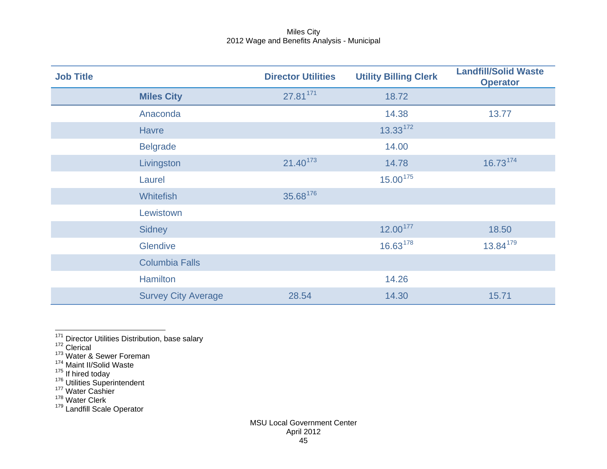<span id="page-45-7"></span><span id="page-45-6"></span><span id="page-45-5"></span><span id="page-45-4"></span><span id="page-45-3"></span><span id="page-45-2"></span><span id="page-45-1"></span><span id="page-45-0"></span>

| <b>Job Title</b> |                            | <b>Director Utilities</b> | <b>Utility Billing Clerk</b> | <b>Landfill/Solid Waste</b><br><b>Operator</b> |
|------------------|----------------------------|---------------------------|------------------------------|------------------------------------------------|
|                  | <b>Miles City</b>          | 27.81 $171$               | 18.72                        |                                                |
|                  | Anaconda                   |                           | 14.38                        | 13.77                                          |
|                  | <b>Havre</b>               |                           | $13.33^{172}$                |                                                |
|                  | <b>Belgrade</b>            |                           | 14.00                        |                                                |
|                  | Livingston                 | $21.40^{173}$             | 14.78                        | 16.73174                                       |
|                  | Laurel                     |                           | 15.00175                     |                                                |
|                  | <b>Whitefish</b>           | 35.68176                  |                              |                                                |
|                  | Lewistown                  |                           |                              |                                                |
|                  | <b>Sidney</b>              |                           | 12.00177                     | 18.50                                          |
|                  | <b>Glendive</b>            |                           | 16.63178                     | 13.84 <sup>179</sup>                           |
|                  | <b>Columbia Falls</b>      |                           |                              |                                                |
|                  | <b>Hamilton</b>            |                           | 14.26                        |                                                |
|                  | <b>Survey City Average</b> | 28.54                     | 14.30                        | 15.71                                          |

<sup>171</sup> Director Utilities Distribution, base salary<br><sup>172</sup> Clerical

- $^{174}_{12}$  Maint II/Solid Waste
- 

<sup>175</sup> If hired today<br><sup>176</sup> Utilities Superintendent<br><sup>177</sup> Water Cashier

<sup>178</sup> Water Clerk

<sup>179</sup> Landfill Scale Operator

 $173 \text{ Water}$  & Sewer Foreman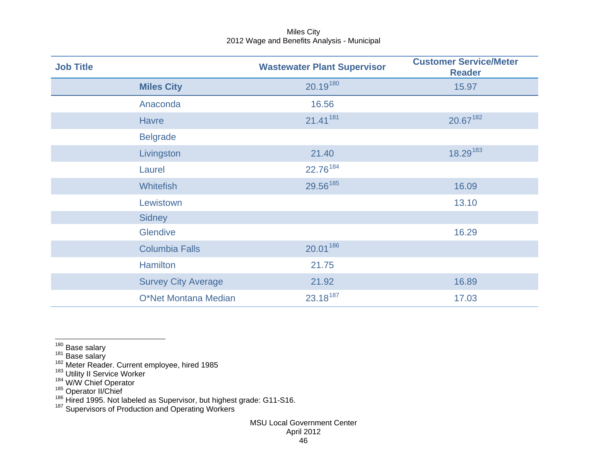<span id="page-46-6"></span><span id="page-46-5"></span><span id="page-46-4"></span><span id="page-46-3"></span><span id="page-46-2"></span><span id="page-46-1"></span><span id="page-46-0"></span>

| <b>Job Title</b> |                            | <b>Wastewater Plant Supervisor</b> | <b>Customer Service/Meter</b><br><b>Reader</b> |
|------------------|----------------------------|------------------------------------|------------------------------------------------|
|                  | <b>Miles City</b>          | 20.19180                           | 15.97                                          |
|                  | Anaconda                   | 16.56                              |                                                |
|                  | <b>Havre</b>               | 21.41181                           | 20.67182                                       |
|                  | <b>Belgrade</b>            |                                    |                                                |
|                  | Livingston                 | 21.40                              | 18.29183                                       |
|                  | Laurel                     | 22.76 <sup>184</sup>               |                                                |
|                  | <b>Whitefish</b>           | 29.56 <sup>185</sup>               | 16.09                                          |
|                  | Lewistown                  |                                    | 13.10                                          |
|                  | <b>Sidney</b>              |                                    |                                                |
|                  | Glendive                   |                                    | 16.29                                          |
|                  | <b>Columbia Falls</b>      | 20.01 186                          |                                                |
|                  | <b>Hamilton</b>            | 21.75                              |                                                |
|                  | <b>Survey City Average</b> | 21.92                              | 16.89                                          |
|                  | O*Net Montana Median       | 23.18187                           | 17.03                                          |

<sup>187</sup> Supervisors of Production and Operating Workers

 $\frac{180}{180}$  Base salary<br><sup>181</sup> Base salary<br><sup>182</sup> Meter Reader. Current employee, hired 1985

<sup>&</sup>lt;sup>183</sup> Utility II Service Worker<br><sup>184</sup> W/W Chief Operator<br><sup>185</sup> Operator II/Chief<br><sup>186</sup> Hired 1995. Not labeled as Supervisor, but highest grade: G11-S16.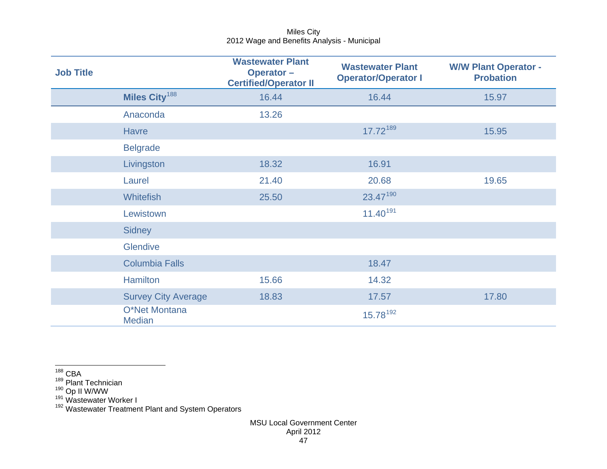<span id="page-47-4"></span><span id="page-47-3"></span><span id="page-47-2"></span><span id="page-47-1"></span><span id="page-47-0"></span>

| <b>Job Title</b> |                                | <b>Wastewater Plant</b><br>Operator-<br><b>Certified/Operator II</b> | <b>Wastewater Plant</b><br><b>Operator/Operator I</b> | <b>W/W Plant Operator -</b><br><b>Probation</b> |
|------------------|--------------------------------|----------------------------------------------------------------------|-------------------------------------------------------|-------------------------------------------------|
|                  | Miles City <sup>188</sup>      | 16.44                                                                | 16.44                                                 | 15.97                                           |
|                  | Anaconda                       | 13.26                                                                |                                                       |                                                 |
|                  | <b>Havre</b>                   |                                                                      | 17.72 189                                             | 15.95                                           |
|                  | <b>Belgrade</b>                |                                                                      |                                                       |                                                 |
|                  | Livingston                     | 18.32                                                                | 16.91                                                 |                                                 |
|                  | Laurel                         | 21.40                                                                | 20.68                                                 | 19.65                                           |
|                  | <b>Whitefish</b>               | 25.50                                                                | 23.47190                                              |                                                 |
|                  | Lewistown                      |                                                                      | $11.40^{191}$                                         |                                                 |
|                  | <b>Sidney</b>                  |                                                                      |                                                       |                                                 |
|                  | Glendive                       |                                                                      |                                                       |                                                 |
|                  | <b>Columbia Falls</b>          |                                                                      | 18.47                                                 |                                                 |
|                  | <b>Hamilton</b>                | 15.66                                                                | 14.32                                                 |                                                 |
|                  | <b>Survey City Average</b>     | 18.83                                                                | 17.57                                                 | 17.80                                           |
|                  | O*Net Montana<br><b>Median</b> |                                                                      | 15.78 <sup>192</sup>                                  |                                                 |

 $\frac{188}{188}$  CBA

<sup>189</sup> Plant Technician

<sup>190</sup> Op II W/WW<br><sup>191</sup> Wastewater Worker I

<sup>192</sup> Wastewater Treatment Plant and System Operators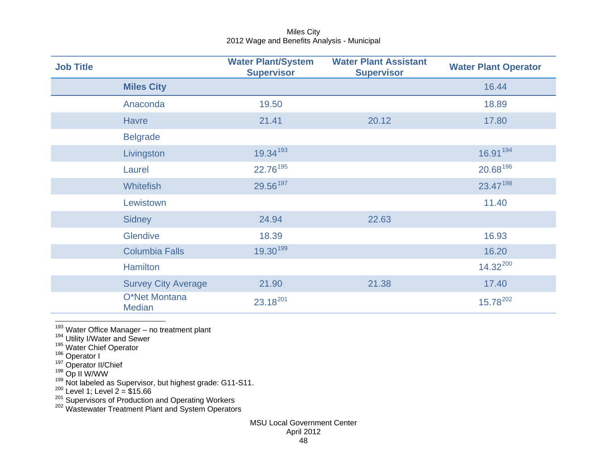<span id="page-48-8"></span><span id="page-48-7"></span><span id="page-48-6"></span><span id="page-48-5"></span><span id="page-48-4"></span><span id="page-48-3"></span><span id="page-48-2"></span><span id="page-48-1"></span><span id="page-48-0"></span>

| <b>Job Title</b> |                                | <b>Water Plant/System</b><br><b>Supervisor</b> | <b>Water Plant Assistant</b><br><b>Supervisor</b> | <b>Water Plant Operator</b> |
|------------------|--------------------------------|------------------------------------------------|---------------------------------------------------|-----------------------------|
|                  | <b>Miles City</b>              |                                                |                                                   | 16.44                       |
|                  | Anaconda                       | 19.50                                          |                                                   | 18.89                       |
|                  | <b>Havre</b>                   | 21.41                                          | 20.12                                             | 17.80                       |
|                  | <b>Belgrade</b>                |                                                |                                                   |                             |
|                  | Livingston                     | 19.34193                                       |                                                   | 16.91 194                   |
|                  | Laurel                         | 22.76 <sup>195</sup>                           |                                                   | 20.68196                    |
|                  | <b>Whitefish</b>               | 29.56 <sup>197</sup>                           |                                                   | 23.47198                    |
|                  | Lewistown                      |                                                |                                                   | 11.40                       |
|                  | <b>Sidney</b>                  | 24.94                                          | 22.63                                             |                             |
|                  | Glendive                       | 18.39                                          |                                                   | 16.93                       |
|                  | <b>Columbia Falls</b>          | 19.30199                                       |                                                   | 16.20                       |
|                  | <b>Hamilton</b>                |                                                |                                                   | $14.32^{200}$               |
|                  | <b>Survey City Average</b>     | 21.90                                          | 21.38                                             | 17.40                       |
|                  | O*Net Montana<br><b>Median</b> | 23.18201                                       |                                                   | $15.78^{202}$               |

<sup>193</sup> Water Office Manager – no treatment plant<br><sup>194</sup> Utility I/Water and Sewer<br><sup>195</sup> Water Chief Operator<br><sup>196</sup> Operator II/Chief<br><sup>198</sup> Op II W/WW

 $^{199}$  Not labeled as Supervisor, but highest grade: G11-S11.

 $^{200}$  Level 1; Level 2 = \$15.66

<sup>201</sup> Supervisors of Production and Operating Workers<br><sup>202</sup> Wastewater Treatment Plant and System Operators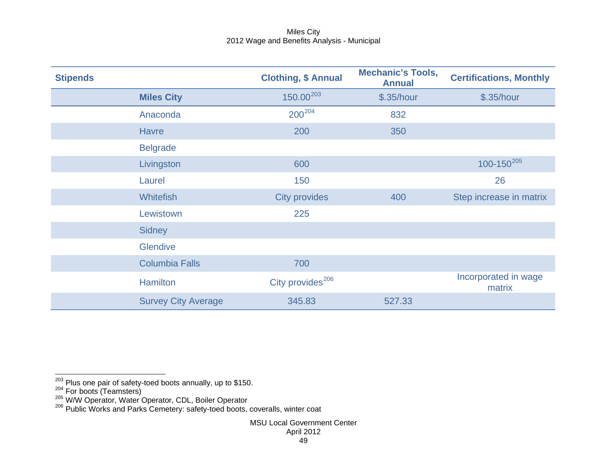<span id="page-49-2"></span><span id="page-49-1"></span><span id="page-49-0"></span>

| <b>Stipends</b> |                            | <b>Clothing, \$ Annual</b>   | <b>Mechanic's Tools,</b><br><b>Annual</b> | <b>Certifications, Monthly</b> |
|-----------------|----------------------------|------------------------------|-------------------------------------------|--------------------------------|
|                 | <b>Miles City</b>          | $150.00^{203}$               | \$.35/hour                                | \$.35/hour                     |
|                 | Anaconda                   | $200^{204}$                  | 832                                       |                                |
|                 | <b>Havre</b>               | 200                          | 350                                       |                                |
|                 | <b>Belgrade</b>            |                              |                                           |                                |
|                 | Livingston                 | 600                          |                                           | $100 - 150^{205}$              |
|                 | Laurel                     | 150                          |                                           | 26                             |
|                 | <b>Whitefish</b>           | <b>City provides</b>         | 400                                       | Step increase in matrix        |
|                 | Lewistown                  | 225                          |                                           |                                |
|                 | Sidney                     |                              |                                           |                                |
|                 | <b>Glendive</b>            |                              |                                           |                                |
|                 | <b>Columbia Falls</b>      | 700                          |                                           |                                |
|                 | <b>Hamilton</b>            | City provides <sup>206</sup> |                                           | Incorporated in wage<br>matrix |
|                 | <b>Survey City Average</b> | 345.83                       | 527.33                                    |                                |

<sup>&</sup>lt;sup>203</sup> Plus one pair of safety-toed boots annually, up to \$150.<br><sup>204</sup> For boots (Teamsters)<br><sup>205</sup> W/W Operator, Water Operator, CDL, Boiler Operator <sup>206</sup> Public Works and Parks Cemetery: safety-toed boots, coveralls, wint